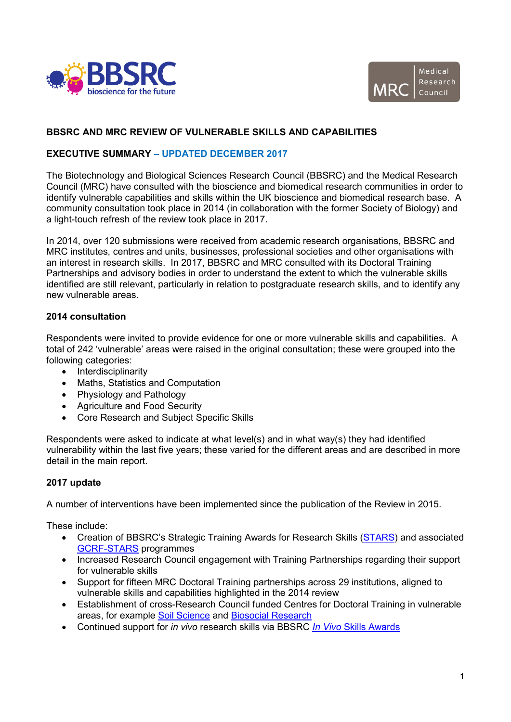



# **BBSRC AND MRC REVIEW OF VULNERABLE SKILLS AND CAPABILITIES**

# **EXECUTIVE SUMMARY – UPDATED DECEMBER 2017**

The Biotechnology and Biological Sciences Research Council (BBSRC) and the Medical Research Council (MRC) have consulted with the bioscience and biomedical research communities in order to identify vulnerable capabilities and skills within the UK bioscience and biomedical research base. A community consultation took place in 2014 (in collaboration with the former Society of Biology) and a light-touch refresh of the review took place in 2017.

In 2014, over 120 submissions were received from academic research organisations, BBSRC and MRC institutes, centres and units, businesses, professional societies and other organisations with an interest in research skills. In 2017, BBSRC and MRC consulted with its Doctoral Training Partnerships and advisory bodies in order to understand the extent to which the vulnerable skills identified are still relevant, particularly in relation to postgraduate research skills, and to identify any new vulnerable areas.

### **2014 consultation**

Respondents were invited to provide evidence for one or more vulnerable skills and capabilities. A total of 242 'vulnerable' areas were raised in the original consultation; these were grouped into the following categories:

- Interdisciplinarity
- Maths, Statistics and Computation
- Physiology and Pathology
- Agriculture and Food Security
- Core Research and Subject Specific Skills

Respondents were asked to indicate at what level(s) and in what way(s) they had identified vulnerability within the last five years; these varied for the different areas and are described in more detail in the main report.

#### **2017 update**

A number of interventions have been implemented since the publication of the Review in 2015.

These include:

- Creation of BBSRC's Strategic Training Awards for Research Skills [\(STARS\)](http://www.bbsrc.ac.uk/funding/filter/stars/) and associated [GCRF-STARS](http://www.bbsrc.ac.uk/funding/filter/bbsrc-gcrf-strategic-training-awards-for-research-skills-gcrf-stars/) programmes
- Increased Research Council engagement with Training Partnerships regarding their support for vulnerable skills
- Support for fifteen MRC Doctoral Training partnerships across 29 institutions, aligned to vulnerable skills and capabilities highlighted in the 2014 review
- Establishment of cross-Research Council funded Centres for Doctoral Training in vulnerable areas, for example [Soil Science](http://www.nerc.ac.uk/funding/available/postgrad/focused/cdt/soil/) and [Biosocial Research](http://www.esrc.ac.uk/skills-and-careers/studentships/centres-for-doctoral-training/)
- Continued support for *in vivo* research skills via BBSRC *In Vivo* [Skills Awards](http://www.bbsrc.ac.uk/skills/investing-doctoral-training/strategic-skills/)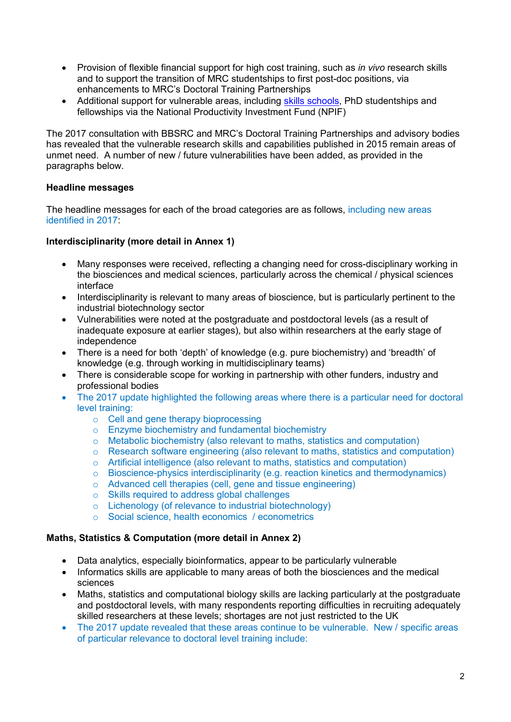- Provision of flexible financial support for high cost training, such as *in vivo* research skills and to support the transition of MRC studentships to first post-doc positions, via enhancements to MRC's Doctoral Training Partnerships
- Additional support for vulnerable areas, including [skills schools,](http://www.bbsrc.ac.uk/funding/filter/npif-industrial-challenges-skills-schools/) PhD studentships and fellowships via the National Productivity Investment Fund (NPIF)

The 2017 consultation with BBSRC and MRC's Doctoral Training Partnerships and advisory bodies has revealed that the vulnerable research skills and capabilities published in 2015 remain areas of unmet need. A number of new / future vulnerabilities have been added, as provided in the paragraphs below.

### **Headline messages**

The headline messages for each of the broad categories are as follows, including new areas identified in 2017:

### **Interdisciplinarity (more detail in Annex 1)**

- Many responses were received, reflecting a changing need for cross-disciplinary working in the biosciences and medical sciences, particularly across the chemical / physical sciences interface
- Interdisciplinarity is relevant to many areas of bioscience, but is particularly pertinent to the industrial biotechnology sector
- Vulnerabilities were noted at the postgraduate and postdoctoral levels (as a result of inadequate exposure at earlier stages), but also within researchers at the early stage of independence
- There is a need for both 'depth' of knowledge (e.g. pure biochemistry) and 'breadth' of knowledge (e.g. through working in multidisciplinary teams)
- There is considerable scope for working in partnership with other funders, industry and professional bodies
- The 2017 update highlighted the following areas where there is a particular need for doctoral level training:
	- o Cell and gene therapy bioprocessing
	- o Enzyme biochemistry and fundamental biochemistry
	- $\circ$  Metabolic biochemistry (also relevant to maths, statistics and computation)
	- o Research software engineering (also relevant to maths, statistics and computation)
	- o Artificial intelligence (also relevant to maths, statistics and computation)
	- o Bioscience-physics interdisciplinarity (e.g. reaction kinetics and thermodynamics)
	- o Advanced cell therapies (cell, gene and tissue engineering)
	- o Skills required to address global challenges
	- o Lichenology (of relevance to industrial biotechnology)
	- o Social science, health economics / econometrics

#### **Maths, Statistics & Computation (more detail in Annex 2)**

- Data analytics, especially bioinformatics, appear to be particularly vulnerable
- Informatics skills are applicable to many areas of both the biosciences and the medical sciences
- Maths, statistics and computational biology skills are lacking particularly at the postgraduate and postdoctoral levels, with many respondents reporting difficulties in recruiting adequately skilled researchers at these levels; shortages are not just restricted to the UK
- The 2017 update revealed that these areas continue to be vulnerable. New / specific areas of particular relevance to doctoral level training include: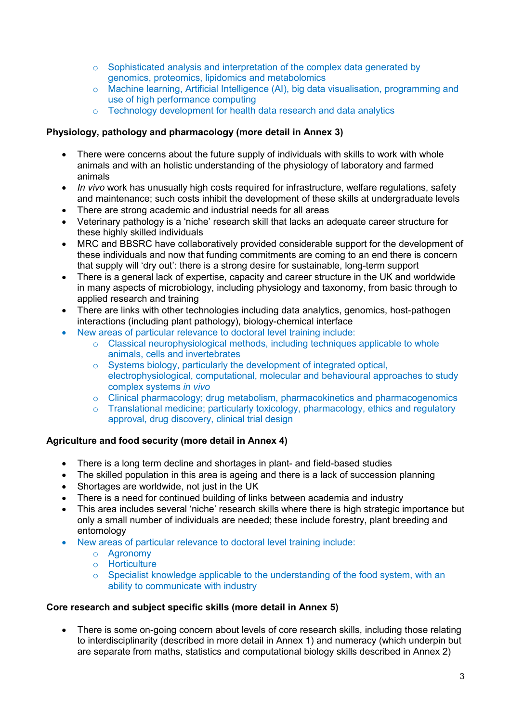- o Sophisticated analysis and interpretation of the complex data generated by genomics, proteomics, lipidomics and metabolomics
- o Machine learning, Artificial Intelligence (AI), big data visualisation, programming and use of high performance computing
- o Technology development for health data research and data analytics

### **Physiology, pathology and pharmacology (more detail in Annex 3)**

- There were concerns about the future supply of individuals with skills to work with whole animals and with an holistic understanding of the physiology of laboratory and farmed animals
- *In vivo* work has unusually high costs required for infrastructure, welfare regulations, safety and maintenance; such costs inhibit the development of these skills at undergraduate levels
- There are strong academic and industrial needs for all areas
- Veterinary pathology is a 'niche' research skill that lacks an adequate career structure for these highly skilled individuals
- MRC and BBSRC have collaboratively provided considerable support for the development of these individuals and now that funding commitments are coming to an end there is concern that supply will 'dry out': there is a strong desire for sustainable, long-term support
- There is a general lack of expertise, capacity and career structure in the UK and worldwide in many aspects of microbiology, including physiology and taxonomy, from basic through to applied research and training
- There are links with other technologies including data analytics, genomics, host-pathogen interactions (including plant pathology), biology-chemical interface
- New areas of particular relevance to doctoral level training include:
	- $\circ$  Classical neurophysiological methods, including techniques applicable to whole animals, cells and invertebrates
	- o Systems biology, particularly the development of integrated optical, electrophysiological, computational, molecular and behavioural approaches to study complex systems *in vivo*
	- o Clinical pharmacology; drug metabolism, pharmacokinetics and pharmacogenomics
	- o Translational medicine; particularly toxicology, pharmacology, ethics and regulatory approval, drug discovery, clinical trial design

#### **Agriculture and food security (more detail in Annex 4)**

- There is a long term decline and shortages in plant- and field-based studies
- The skilled population in this area is ageing and there is a lack of succession planning
- Shortages are worldwide, not just in the UK
- There is a need for continued building of links between academia and industry
- This area includes several 'niche' research skills where there is high strategic importance but only a small number of individuals are needed; these include forestry, plant breeding and entomology
- New areas of particular relevance to doctoral level training include:
	- o Agronomy
	- o Horticulture
	- $\circ$  Specialist knowledge applicable to the understanding of the food system, with an ability to communicate with industry

### **Core research and subject specific skills (more detail in Annex 5)**

• There is some on-going concern about levels of core research skills, including those relating to interdisciplinarity (described in more detail in Annex 1) and numeracy (which underpin but are separate from maths, statistics and computational biology skills described in Annex 2)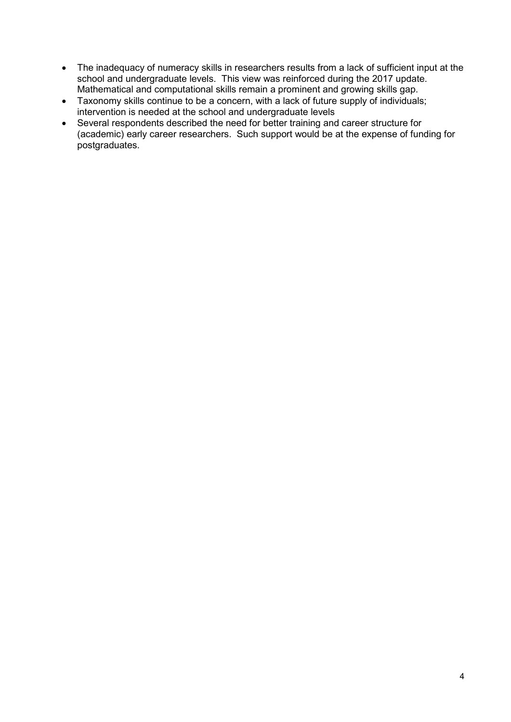- The inadequacy of numeracy skills in researchers results from a lack of sufficient input at the school and undergraduate levels. This view was reinforced during the 2017 update. Mathematical and computational skills remain a prominent and growing skills gap.
- Taxonomy skills continue to be a concern, with a lack of future supply of individuals; intervention is needed at the school and undergraduate levels
- Several respondents described the need for better training and career structure for (academic) early career researchers. Such support would be at the expense of funding for postgraduates.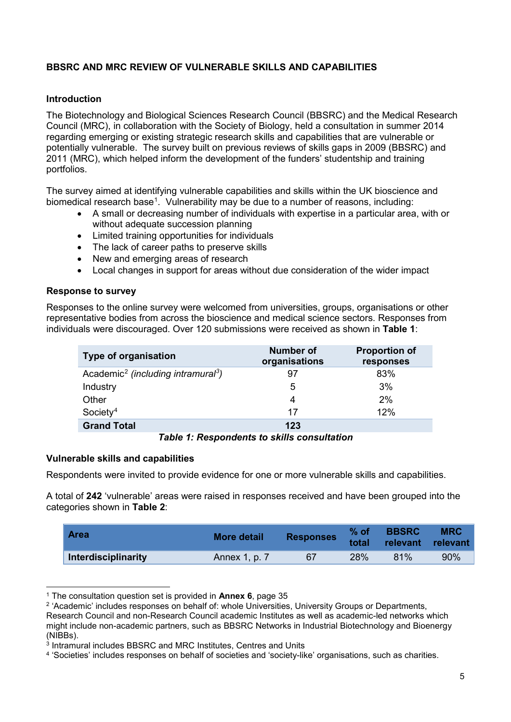# **BBSRC AND MRC REVIEW OF VULNERABLE SKILLS AND CAPABILITIES**

### **Introduction**

The Biotechnology and Biological Sciences Research Council (BBSRC) and the Medical Research Council (MRC), in collaboration with the Society of Biology, held a consultation in summer 2014 regarding emerging or existing strategic research skills and capabilities that are vulnerable or potentially vulnerable. The survey built on previous reviews of skills gaps in 2009 (BBSRC) and 2011 (MRC), which helped inform the development of the funders' studentship and training portfolios.

The survey aimed at identifying vulnerable capabilities and skills within the UK bioscience and biomedical research base<sup>[1](#page-4-0)</sup>. Vulnerability may be due to a number of reasons, including:

- A small or decreasing number of individuals with expertise in a particular area, with or without adequate succession planning
- Limited training opportunities for individuals
- The lack of career paths to preserve skills
- New and emerging areas of research
- Local changes in support for areas without due consideration of the wider impact

#### **Response to survey**

Responses to the online survey were welcomed from universities, groups, organisations or other representative bodies from across the bioscience and medical science sectors. Responses from individuals were discouraged. Over 120 submissions were received as shown in **Table 1**:

| <b>Type of organisation</b>                                | <b>Number of</b><br>organisations | <b>Proportion of</b><br>responses |
|------------------------------------------------------------|-----------------------------------|-----------------------------------|
| Academic <sup>2</sup> (including intramural <sup>3</sup> ) | -97                               | 83%                               |
| Industry                                                   | 5                                 | 3%                                |
| Other                                                      | 4                                 | 2%                                |
| Society <sup>4</sup>                                       | 17                                | 12%                               |
| <b>Grand Total</b>                                         | 123                               |                                   |

*Table 1: Respondents to skills consultation*

#### **Vulnerable skills and capabilities**

Respondents were invited to provide evidence for one or more vulnerable skills and capabilities.

A total of **242** 'vulnerable' areas were raised in responses received and have been grouped into the categories shown in **Table 2**:

| <b>Area</b>         | <b>More detail</b> | <b>Responses</b> | % of<br>total | <b>BBSRC</b><br>relevant | <b>MRC</b><br>∣ relevant |
|---------------------|--------------------|------------------|---------------|--------------------------|--------------------------|
| Interdisciplinarity | Annex 1, p. 7      | 67               | 28%           | 81%                      | 90%                      |

<sup>1</sup> The consultation question set is provided in **Annex 6**, page 35 -

<span id="page-4-1"></span><span id="page-4-0"></span><sup>&</sup>lt;sup>2</sup> 'Academic' includes responses on behalf of: whole Universities, University Groups or Departments, Research Council and non-Research Council academic Institutes as well as academic-led networks which might include non-academic partners, such as BBSRC Networks in Industrial Biotechnology and Bioenergy (NIBBs).

<span id="page-4-2"></span><sup>3</sup> Intramural includes BBSRC and MRC Institutes, Centres and Units

<span id="page-4-3"></span><sup>4</sup> 'Societies' includes responses on behalf of societies and 'society-like' organisations, such as charities.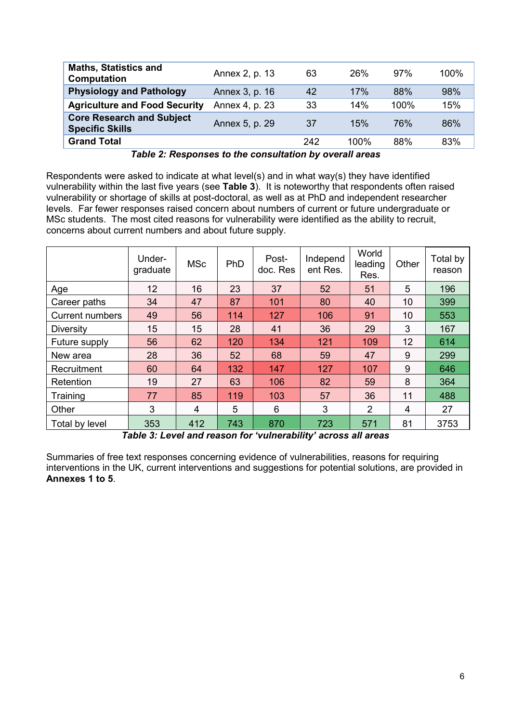| <b>Maths, Statistics and</b><br><b>Computation</b>         | Annex 2, p. 13 | 63  | 26%  | 97%  | 100% |
|------------------------------------------------------------|----------------|-----|------|------|------|
| <b>Physiology and Pathology</b>                            | Annex 3, p. 16 | 42  | 17%  | 88%  | 98%  |
| <b>Agriculture and Food Security</b>                       | Annex 4, p. 23 | 33  | 14%  | 100% | 15%  |
| <b>Core Research and Subject</b><br><b>Specific Skills</b> | Annex 5, p. 29 | 37  | 15%  | 76%  | 86%  |
| <b>Grand Total</b>                                         |                | 242 | 100% | 88%  | 83%  |

*Table 2: Responses to the consultation by overall areas*

Respondents were asked to indicate at what level(s) and in what way(s) they have identified vulnerability within the last five years (see **[Table 3](#page-5-0)**). It is noteworthy that respondents often raised vulnerability or shortage of skills at post-doctoral, as well as at PhD and independent researcher levels. Far fewer responses raised concern about numbers of current or future undergraduate or MSc students. The most cited reasons for vulnerability were identified as the ability to recruit, concerns about current numbers and about future supply.

|                        | Under-<br>graduate | <b>MSc</b> | PhD | Post-<br>doc. Res | Independ<br>ent Res. | World<br>leading<br>Res. | Other | Total by<br>reason |
|------------------------|--------------------|------------|-----|-------------------|----------------------|--------------------------|-------|--------------------|
| Age                    | 12                 | 16         | 23  | 37                | 52                   | 51                       | 5     | 196                |
| Career paths           | 34                 | 47         | 87  | 101               | 80                   | 40                       | 10    | 399                |
| <b>Current numbers</b> | 49                 | 56         | 114 | 127               | 106                  | 91                       | 10    | 553                |
| <b>Diversity</b>       | 15                 | 15         | 28  | 41                | 36                   | 29                       | 3     | 167                |
| Future supply          | 56                 | 62         | 120 | 134               | 121                  | 109                      | 12    | 614                |
| New area               | 28                 | 36         | 52  | 68                | 59                   | 47                       | 9     | 299                |
| Recruitment            | 60                 | 64         | 132 | 147               | 127                  | 107                      | 9     | 646                |
| Retention              | 19                 | 27         | 63  | 106               | 82                   | 59                       | 8     | 364                |
| Training               | 77                 | 85         | 119 | 103               | 57                   | 36                       | 11    | 488                |
| Other                  | 3                  | 4          | 5   | 6                 | 3                    | $\overline{2}$           | 4     | 27                 |
| Total by level         | 353                | 412        | 743 | 870               | 723                  | 571                      | 81    | 3753               |

*Table 3: Level and reason for 'vulnerability' across all areas*

<span id="page-5-0"></span>Summaries of free text responses concerning evidence of vulnerabilities, reasons for requiring interventions in the UK, current interventions and suggestions for potential solutions, are provided in **Annexes 1 to 5**.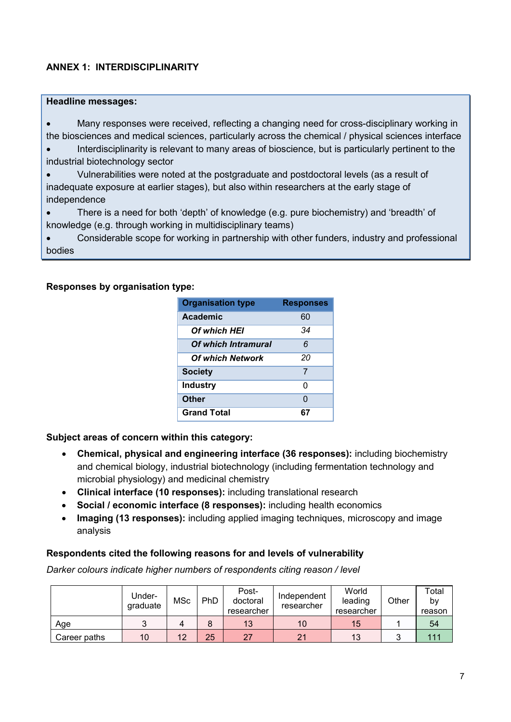# **ANNEX 1: INTERDISCIPLINARITY**

#### **Headline messages:**

• Many responses were received, reflecting a changing need for cross-disciplinary working in the biosciences and medical sciences, particularly across the chemical / physical sciences interface

• Interdisciplinarity is relevant to many areas of bioscience, but is particularly pertinent to the industrial biotechnology sector

- Vulnerabilities were noted at the postgraduate and postdoctoral levels (as a result of inadequate exposure at earlier stages), but also within researchers at the early stage of independence
- There is a need for both 'depth' of knowledge (e.g. pure biochemistry) and 'breadth' of knowledge (e.g. through working in multidisciplinary teams)

• Considerable scope for working in partnership with other funders, industry and professional bodies

### **Responses by organisation type:**

| <b>Organisation type</b> | <b>Responses</b> |
|--------------------------|------------------|
| Academic                 | 60               |
| Of which HEI             | 34               |
| Of which Intramural      | 6                |
| <b>Of which Network</b>  | 20               |
| <b>Society</b>           | 7                |
| <b>Industry</b>          | ი                |
| <b>Other</b>             | 0                |
| <b>Grand Total</b>       | 67               |

#### **Subject areas of concern within this category:**

- **Chemical, physical and engineering interface (36 responses):** including biochemistry and chemical biology, industrial biotechnology (including fermentation technology and microbial physiology) and medicinal chemistry
- **Clinical interface (10 responses):** including translational research
- **Social / economic interface (8 responses):** including health economics
- **Imaging (13 responses):** including applied imaging techniques, microscopy and image analysis

#### **Respondents cited the following reasons for and levels of vulnerability**

*Darker colours indicate higher numbers of respondents citing reason / level*

|              | Under-<br>graduate | MSc | PhD | Post-<br>doctoral<br>researcher | Independent<br>researcher | World<br>leading<br>researcher | Other | Total<br>b٧<br>reason |
|--------------|--------------------|-----|-----|---------------------------------|---------------------------|--------------------------------|-------|-----------------------|
| Age          |                    | 4   |     | 13                              | 10                        | 15                             |       | 54                    |
| Career paths | 10                 | 12  | 25  | 27                              | 2 <sub>1</sub>            | 13                             | ◠     | 111                   |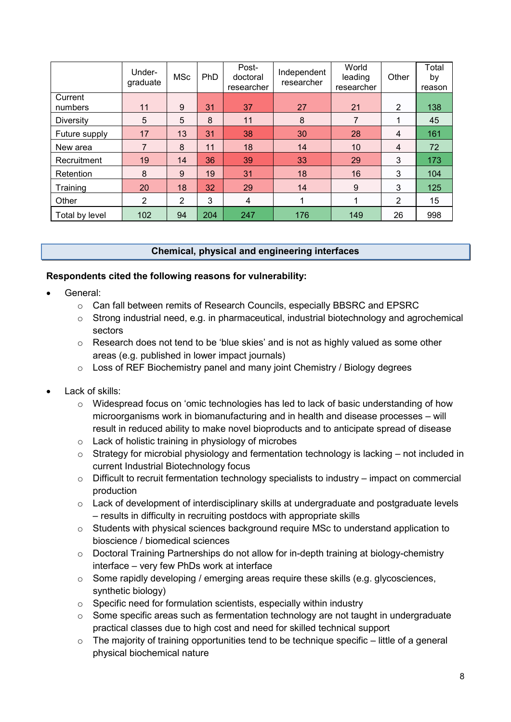|                    | Under-<br>graduate | <b>MSc</b> | <b>PhD</b> | Post-<br>doctoral<br>researcher | Independent<br>researcher | World<br>leading<br>researcher | Other          | Total<br>by<br>reason |
|--------------------|--------------------|------------|------------|---------------------------------|---------------------------|--------------------------------|----------------|-----------------------|
| Current<br>numbers | 11                 | 9          | 31         | 37                              | 27                        | 21                             | 2              | 138                   |
| <b>Diversity</b>   | 5                  | 5          | 8          | 11                              | 8                         | 7                              | 1              | 45                    |
| Future supply      | 17                 | 13         | 31         | 38                              | 30                        | 28                             | 4              | 161                   |
| New area           | 7                  | 8          | 11         | 18                              | 14                        | 10                             | $\overline{4}$ | 72                    |
| Recruitment        | 19                 | 14         | 36         | 39                              | 33                        | 29                             | 3              | 173                   |
| Retention          | 8                  | 9          | 19         | 31                              | 18                        | 16                             | 3              | 104                   |
| Training           | 20                 | 18         | 32         | 29                              | 14                        | 9                              | 3              | 125                   |
| Other              | $\overline{2}$     | 2          | 3          | 4                               |                           |                                | 2              | 15                    |
| Total by level     | 102                | 94         | 204        | 247                             | 176                       | 149                            | 26             | 998                   |

# **Chemical, physical and engineering interfaces**

### **Respondents cited the following reasons for vulnerability:**

- General:
	- $\circ$  Can fall between remits of Research Councils, especially BBSRC and EPSRC
	- o Strong industrial need, e.g. in pharmaceutical, industrial biotechnology and agrochemical sectors
	- $\circ$  Research does not tend to be 'blue skies' and is not as highly valued as some other areas (e.g. published in lower impact journals)
	- o Loss of REF Biochemistry panel and many joint Chemistry / Biology degrees
- Lack of skills:
	- $\circ$  Widespread focus on 'omic technologies has led to lack of basic understanding of how microorganisms work in biomanufacturing and in health and disease processes – will result in reduced ability to make novel bioproducts and to anticipate spread of disease
	- o Lack of holistic training in physiology of microbes
	- $\circ$  Strategy for microbial physiology and fermentation technology is lacking not included in current Industrial Biotechnology focus
	- o Difficult to recruit fermentation technology specialists to industry impact on commercial production
	- o Lack of development of interdisciplinary skills at undergraduate and postgraduate levels – results in difficulty in recruiting postdocs with appropriate skills
	- o Students with physical sciences background require MSc to understand application to bioscience / biomedical sciences
	- o Doctoral Training Partnerships do not allow for in-depth training at biology-chemistry interface – very few PhDs work at interface
	- o Some rapidly developing / emerging areas require these skills (e.g. glycosciences, synthetic biology)
	- o Specific need for formulation scientists, especially within industry
	- $\circ$  Some specific areas such as fermentation technology are not taught in undergraduate practical classes due to high cost and need for skilled technical support
	- $\circ$  The majority of training opportunities tend to be technique specific little of a general physical biochemical nature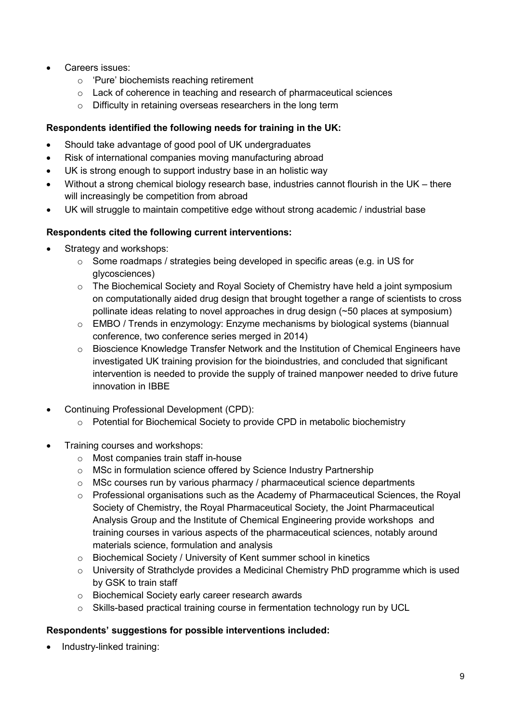- Careers issues:
	- o 'Pure' biochemists reaching retirement
	- o Lack of coherence in teaching and research of pharmaceutical sciences
	- o Difficulty in retaining overseas researchers in the long term

# **Respondents identified the following needs for training in the UK:**

- Should take advantage of good pool of UK undergraduates
- Risk of international companies moving manufacturing abroad
- UK is strong enough to support industry base in an holistic way
- Without a strong chemical biology research base, industries cannot flourish in the UK there will increasingly be competition from abroad
- UK will struggle to maintain competitive edge without strong academic / industrial base

# **Respondents cited the following current interventions:**

- Strategy and workshops:
	- o Some roadmaps / strategies being developed in specific areas (e.g. in US for glycosciences)
	- $\circ$  The Biochemical Society and Royal Society of Chemistry have held a joint symposium on computationally aided drug design that brought together a range of scientists to cross pollinate ideas relating to novel approaches in drug design (~50 places at symposium)
	- o EMBO / Trends in enzymology: Enzyme mechanisms by biological systems (biannual conference, two conference series merged in 2014)
	- o Bioscience Knowledge Transfer Network and the Institution of Chemical Engineers have investigated UK training provision for the bioindustries, and concluded that significant intervention is needed to provide the supply of trained manpower needed to drive future innovation in IBBE
- Continuing Professional Development (CPD):
	- o Potential for Biochemical Society to provide CPD in metabolic biochemistry
- Training courses and workshops:
	- o Most companies train staff in-house
	- o MSc in formulation science offered by Science Industry Partnership
	- o MSc courses run by various pharmacy / pharmaceutical science departments
	- $\circ$  Professional organisations such as the Academy of Pharmaceutical Sciences, the Royal Society of Chemistry, the Royal Pharmaceutical Society, the Joint Pharmaceutical Analysis Group and the Institute of Chemical Engineering provide workshops and training courses in various aspects of the pharmaceutical sciences, notably around materials science, formulation and analysis
	- o Biochemical Society / University of Kent summer school in kinetics
	- $\circ$  University of Strathclyde provides a Medicinal Chemistry PhD programme which is used by GSK to train staff
	- o Biochemical Society early career research awards
	- o Skills-based practical training course in fermentation technology run by UCL

# **Respondents' suggestions for possible interventions included:**

• Industry-linked training: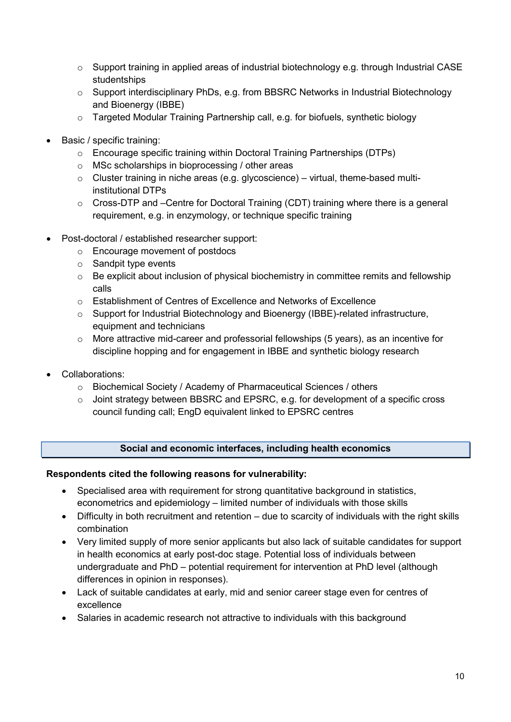- $\circ$  Support training in applied areas of industrial biotechnology e.g. through Industrial CASE studentships
- o Support interdisciplinary PhDs, e.g. from BBSRC Networks in Industrial Biotechnology and Bioenergy (IBBE)
- o Targeted Modular Training Partnership call, e.g. for biofuels, synthetic biology
- Basic / specific training:
	- o Encourage specific training within Doctoral Training Partnerships (DTPs)
	- o MSc scholarships in bioprocessing / other areas
	- $\circ$  Cluster training in niche areas (e.g. glycoscience) virtual, theme-based multiinstitutional DTPs
	- o Cross-DTP and –Centre for Doctoral Training (CDT) training where there is a general requirement, e.g. in enzymology, or technique specific training
- Post-doctoral / established researcher support:
	- o Encourage movement of postdocs
	- o Sandpit type events
	- o Be explicit about inclusion of physical biochemistry in committee remits and fellowship calls
	- o Establishment of Centres of Excellence and Networks of Excellence
	- o Support for Industrial Biotechnology and Bioenergy (IBBE)-related infrastructure, equipment and technicians
	- $\circ$  More attractive mid-career and professorial fellowships (5 years), as an incentive for discipline hopping and for engagement in IBBE and synthetic biology research
- Collaborations:
	- o Biochemical Society / Academy of Pharmaceutical Sciences / others
	- o Joint strategy between BBSRC and EPSRC, e.g. for development of a specific cross council funding call; EngD equivalent linked to EPSRC centres

# **Social and economic interfaces, including health economics**

#### **Respondents cited the following reasons for vulnerability:**

- Specialised area with requirement for strong quantitative background in statistics, econometrics and epidemiology – limited number of individuals with those skills
- Difficulty in both recruitment and retention due to scarcity of individuals with the right skills combination
- Very limited supply of more senior applicants but also lack of suitable candidates for support in health economics at early post-doc stage. Potential loss of individuals between undergraduate and PhD – potential requirement for intervention at PhD level (although differences in opinion in responses).
- Lack of suitable candidates at early, mid and senior career stage even for centres of excellence
- Salaries in academic research not attractive to individuals with this background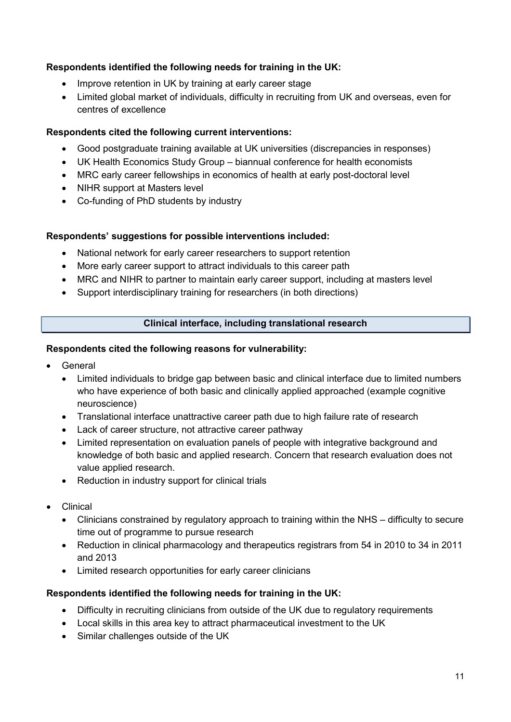# **Respondents identified the following needs for training in the UK:**

- Improve retention in UK by training at early career stage
- Limited global market of individuals, difficulty in recruiting from UK and overseas, even for centres of excellence

### **Respondents cited the following current interventions:**

- Good postgraduate training available at UK universities (discrepancies in responses)
- UK Health Economics Study Group biannual conference for health economists
- MRC early career fellowships in economics of health at early post-doctoral level
- NIHR support at Masters level
- Co-funding of PhD students by industry

### **Respondents' suggestions for possible interventions included:**

- National network for early career researchers to support retention
- More early career support to attract individuals to this career path
- MRC and NIHR to partner to maintain early career support, including at masters level
- Support interdisciplinary training for researchers (in both directions)

### **Clinical interface, including translational research**

### **Respondents cited the following reasons for vulnerability:**

- **General** 
	- Limited individuals to bridge gap between basic and clinical interface due to limited numbers who have experience of both basic and clinically applied approached (example cognitive neuroscience)
	- Translational interface unattractive career path due to high failure rate of research
	- Lack of career structure, not attractive career pathway
	- Limited representation on evaluation panels of people with integrative background and knowledge of both basic and applied research. Concern that research evaluation does not value applied research.
	- Reduction in industry support for clinical trials
- Clinical
	- Clinicians constrained by regulatory approach to training within the NHS difficulty to secure time out of programme to pursue research
	- Reduction in clinical pharmacology and therapeutics registrars from 54 in 2010 to 34 in 2011 and 2013
	- Limited research opportunities for early career clinicians

#### **Respondents identified the following needs for training in the UK:**

- Difficulty in recruiting clinicians from outside of the UK due to regulatory requirements
- Local skills in this area key to attract pharmaceutical investment to the UK
- Similar challenges outside of the UK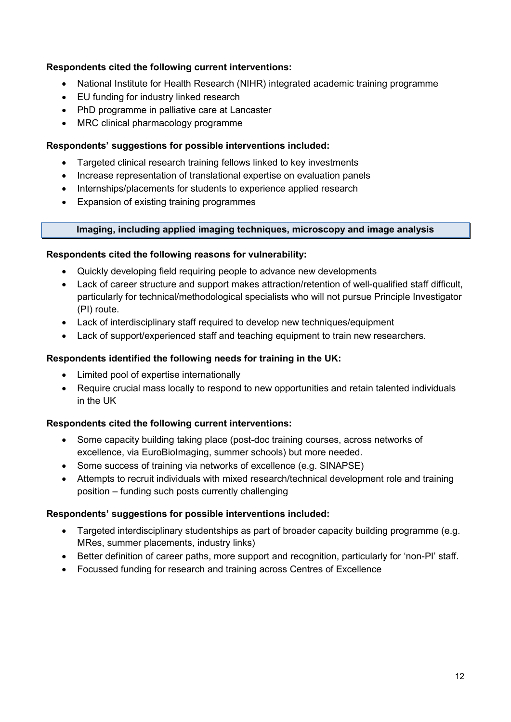# **Respondents cited the following current interventions:**

- National Institute for Health Research (NIHR) integrated academic training programme
- EU funding for industry linked research
- PhD programme in palliative care at Lancaster
- MRC clinical pharmacology programme

# **Respondents' suggestions for possible interventions included:**

- Targeted clinical research training fellows linked to key investments
- Increase representation of translational expertise on evaluation panels
- Internships/placements for students to experience applied research
- Expansion of existing training programmes

# **Imaging, including applied imaging techniques, microscopy and image analysis**

# **Respondents cited the following reasons for vulnerability:**

- Quickly developing field requiring people to advance new developments
- Lack of career structure and support makes attraction/retention of well-qualified staff difficult, particularly for technical/methodological specialists who will not pursue Principle Investigator (PI) route.
- Lack of interdisciplinary staff required to develop new techniques/equipment
- Lack of support/experienced staff and teaching equipment to train new researchers.

# **Respondents identified the following needs for training in the UK:**

- Limited pool of expertise internationally
- Require crucial mass locally to respond to new opportunities and retain talented individuals in the UK

# **Respondents cited the following current interventions:**

- Some capacity building taking place (post-doc training courses, across networks of excellence, via EuroBioImaging, summer schools) but more needed.
- Some success of training via networks of excellence (e.g. SINAPSE)
- Attempts to recruit individuals with mixed research/technical development role and training position – funding such posts currently challenging

- Targeted interdisciplinary studentships as part of broader capacity building programme (e.g. MRes, summer placements, industry links)
- Better definition of career paths, more support and recognition, particularly for 'non-PI' staff.
- Focussed funding for research and training across Centres of Excellence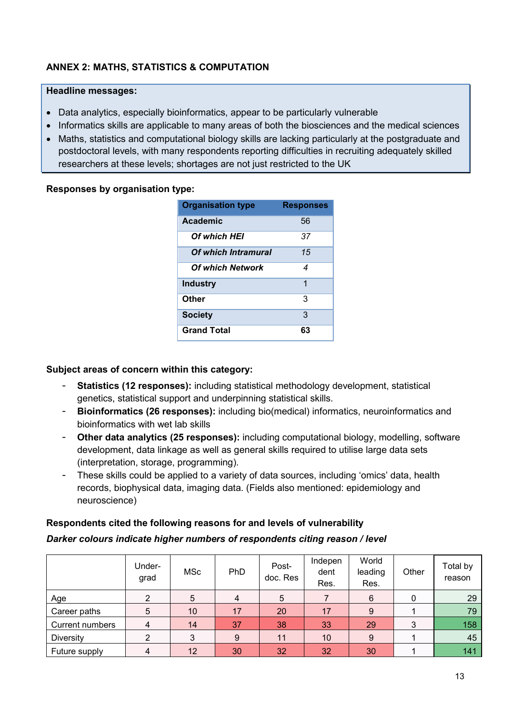# **ANNEX 2: MATHS, STATISTICS & COMPUTATION**

### **Headline messages:**

- Data analytics, especially bioinformatics, appear to be particularly vulnerable
- Informatics skills are applicable to many areas of both the biosciences and the medical sciences
- Maths, statistics and computational biology skills are lacking particularly at the postgraduate and postdoctoral levels, with many respondents reporting difficulties in recruiting adequately skilled researchers at these levels; shortages are not just restricted to the UK

### **Responses by organisation type:**

| <b>Organisation type</b> | <b>Responses</b> |
|--------------------------|------------------|
| Academic                 | 56               |
| Of which HEI             | 37               |
| Of which Intramural      | 15               |
| <b>Of which Network</b>  | 4                |
| <b>Industry</b>          | 1                |
| Other                    | 3                |
| <b>Society</b>           | 3                |
| <b>Grand Total</b>       | 63               |

# **Subject areas of concern within this category:**

- **Statistics (12 responses):** including statistical methodology development, statistical genetics, statistical support and underpinning statistical skills.
- **Bioinformatics (26 responses):** including bio(medical) informatics, neuroinformatics and bioinformatics with wet lab skills
- **Other data analytics (25 responses):** including computational biology, modelling, software development, data linkage as well as general skills required to utilise large data sets (interpretation, storage, programming).
- These skills could be applied to a variety of data sources, including 'omics' data, health records, biophysical data, imaging data. (Fields also mentioned: epidemiology and neuroscience)

# **Respondents cited the following reasons for and levels of vulnerability**

#### *Darker colours indicate higher numbers of respondents citing reason / level*

|                  | Under-<br>grad | <b>MSc</b>      | PhD            | Post-<br>doc. Res | Indepen<br>dent<br>Res. | World<br>leading<br>Res. | Other | Total by<br>reason |
|------------------|----------------|-----------------|----------------|-------------------|-------------------------|--------------------------|-------|--------------------|
| Age              |                | 5               | $\overline{4}$ | 5                 |                         | 6                        | 0     | 29                 |
| Career paths     | 5              | 10 <sup>°</sup> | 17             | 20                | 17                      | 9                        |       | 79                 |
| Current numbers  | 4              | 14              | 37             | 38                | 33                      | 29                       | 3     | 158                |
| <b>Diversity</b> |                | 3               | 9              | 11                | 10                      | 9                        |       | 45                 |
| Future supply    |                | 12              | 30             | 32                | 32                      | 30                       |       | 141                |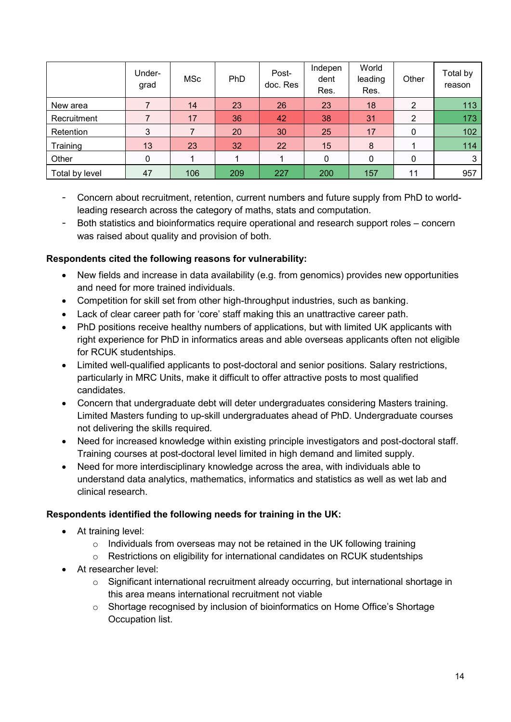|                | Under-<br>grad | <b>MSc</b> | <b>PhD</b> | Post-<br>doc. Res | Indepen<br>dent<br>Res. | World<br>leading<br>Res. | Other | Total by<br>reason |
|----------------|----------------|------------|------------|-------------------|-------------------------|--------------------------|-------|--------------------|
| New area       |                | 14         | 23         | 26                | 23                      | 18                       | 2     | 113                |
| Recruitment    |                | 17         | 36         | 42                | 38                      | 31                       | 2     | 173                |
| Retention      | 3              |            | 20         | 30                | 25                      | 17                       | 0     | 102                |
| Training       | 13             | 23         | 32         | 22                | 15                      | 8                        |       | 114                |
| Other          |                |            |            |                   | 0                       | 0                        | 0     | 3                  |
| Total by level | 47             | 106        | 209        | 227               | 200                     | 157                      | 11    | 957                |

- Concern about recruitment, retention, current numbers and future supply from PhD to worldleading research across the category of maths, stats and computation.
- Both statistics and bioinformatics require operational and research support roles concern was raised about quality and provision of both.

# **Respondents cited the following reasons for vulnerability:**

- New fields and increase in data availability (e.g. from genomics) provides new opportunities and need for more trained individuals.
- Competition for skill set from other high-throughput industries, such as banking.
- Lack of clear career path for 'core' staff making this an unattractive career path.
- PhD positions receive healthy numbers of applications, but with limited UK applicants with right experience for PhD in informatics areas and able overseas applicants often not eligible for RCUK studentships.
- Limited well-qualified applicants to post-doctoral and senior positions. Salary restrictions, particularly in MRC Units, make it difficult to offer attractive posts to most qualified candidates.
- Concern that undergraduate debt will deter undergraduates considering Masters training. Limited Masters funding to up-skill undergraduates ahead of PhD. Undergraduate courses not delivering the skills required.
- Need for increased knowledge within existing principle investigators and post-doctoral staff. Training courses at post-doctoral level limited in high demand and limited supply.
- Need for more interdisciplinary knowledge across the area, with individuals able to understand data analytics, mathematics, informatics and statistics as well as wet lab and clinical research.

# **Respondents identified the following needs for training in the UK:**

- At training level:
	- $\circ$  Individuals from overseas may not be retained in the UK following training
	- o Restrictions on eligibility for international candidates on RCUK studentships
- At researcher level:
	- $\circ$  Significant international recruitment already occurring, but international shortage in this area means international recruitment not viable
	- $\circ$  Shortage recognised by inclusion of bioinformatics on Home Office's Shortage Occupation list.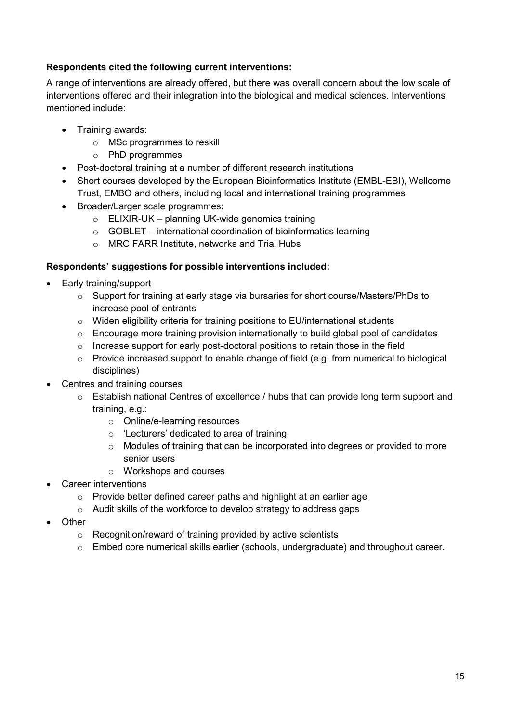# **Respondents cited the following current interventions:**

A range of interventions are already offered, but there was overall concern about the low scale of interventions offered and their integration into the biological and medical sciences. Interventions mentioned include:

- Training awards:
	- o MSc programmes to reskill
	- o PhD programmes
- Post-doctoral training at a number of different research institutions
- Short courses developed by the European Bioinformatics Institute (EMBL-EBI), Wellcome Trust, EMBO and others, including local and international training programmes
- Broader/Larger scale programmes:
	- $\circ$  ELIXIR-UK planning UK-wide genomics training
	- $\circ$  GOBLET international coordination of bioinformatics learning
	- o MRC FARR Institute, networks and Trial Hubs

- Early training/support
	- o Support for training at early stage via bursaries for short course/Masters/PhDs to increase pool of entrants
	- o Widen eligibility criteria for training positions to EU/international students
	- o Encourage more training provision internationally to build global pool of candidates
	- $\circ$  Increase support for early post-doctoral positions to retain those in the field
	- o Provide increased support to enable change of field (e.g. from numerical to biological disciplines)
- Centres and training courses
	- o Establish national Centres of excellence / hubs that can provide long term support and training, e.g.:
		- o Online/e-learning resources
		- o 'Lecturers' dedicated to area of training
		- $\circ$  Modules of training that can be incorporated into degrees or provided to more senior users
		- o Workshops and courses
- Career interventions
	- o Provide better defined career paths and highlight at an earlier age
	- o Audit skills of the workforce to develop strategy to address gaps
- Other
	- o Recognition/reward of training provided by active scientists
	- o Embed core numerical skills earlier (schools, undergraduate) and throughout career.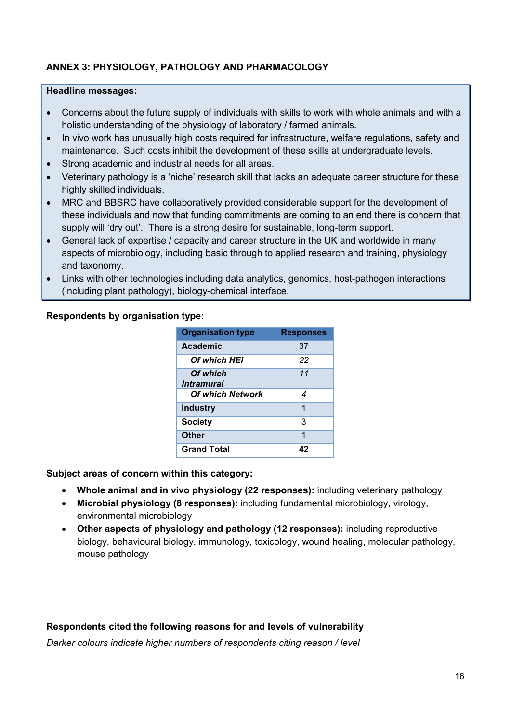# **ANNEX 3: PHYSIOLOGY, PATHOLOGY AND PHARMACOLOGY**

#### **Headline messages:**

- Concerns about the future supply of individuals with skills to work with whole animals and with a holistic understanding of the physiology of laboratory / farmed animals.
- In vivo work has unusually high costs required for infrastructure, welfare regulations, safety and maintenance. Such costs inhibit the development of these skills at undergraduate levels.
- Strong academic and industrial needs for all areas.
- Veterinary pathology is a 'niche' research skill that lacks an adequate career structure for these highly skilled individuals.
- MRC and BBSRC have collaboratively provided considerable support for the development of these individuals and now that funding commitments are coming to an end there is concern that supply will 'dry out'. There is a strong desire for sustainable, long-term support.
- General lack of expertise / capacity and career structure in the UK and worldwide in many aspects of microbiology, including basic through to applied research and training, physiology and taxonomy.
- Links with other technologies including data analytics, genomics, host-pathogen interactions (including plant pathology), biology-chemical interface.

### **Respondents by organisation type:**

| <b>Organisation type</b>             | <b>Responses</b> |
|--------------------------------------|------------------|
| Academic                             | 37               |
| Of which HEI                         | 22               |
| Of which<br><i><b>Intramural</b></i> | 11               |
| <b>Of which Network</b>              | 4                |
| <b>Industry</b>                      | 1                |
| <b>Society</b>                       | 3                |
| Other                                | 1                |
| <b>Grand Total</b>                   | 42               |

**Subject areas of concern within this category:** 

- **Whole animal and in vivo physiology (22 responses):** including veterinary pathology
- **Microbial physiology (8 responses):** including fundamental microbiology, virology, environmental microbiology
- **Other aspects of physiology and pathology (12 responses):** including reproductive biology, behavioural biology, immunology, toxicology, wound healing, molecular pathology, mouse pathology

#### **Respondents cited the following reasons for and levels of vulnerability**

*Darker colours indicate higher numbers of respondents citing reason / level*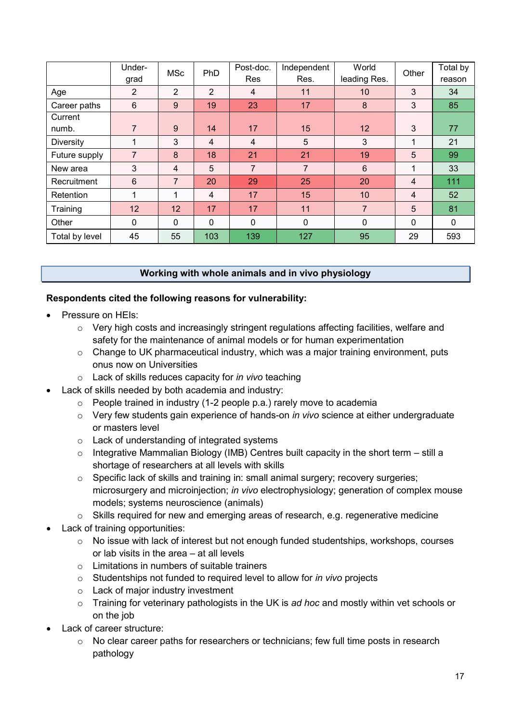|                  | Under-<br>grad | <b>MSc</b>     | PhD            | Post-doc.<br>Res | Independent<br>Res. | World<br>leading Res. | Other          | Total by<br>reason |
|------------------|----------------|----------------|----------------|------------------|---------------------|-----------------------|----------------|--------------------|
| Age              | $\overline{2}$ | $\overline{2}$ | 2              | $\overline{4}$   | 11                  | 10 <sup>°</sup>       | 3              | 34                 |
| Career paths     | 6              | 9              | 19             | 23               | 17                  | 8                     | 3              | 85                 |
| Current          |                |                |                |                  |                     |                       |                |                    |
| numb.            | $\overline{7}$ | 9              | 14             | 17               | 15                  | 12 <sup>°</sup>       | 3              | 77                 |
| <b>Diversity</b> | 1              | 3              | $\overline{4}$ | 4                | 5                   | 3                     | 1              | 21                 |
| Future supply    | $\overline{7}$ | 8              | 18             | 21               | 21                  | 19                    | 5              | 99                 |
| New area         | 3              | 4              | 5              | $\overline{7}$   | $\overline{7}$      | 6                     | $\mathbf{1}$   | 33                 |
| Recruitment      | $6\phantom{1}$ | $\overline{7}$ | 20             | 29               | 25                  | 20                    | 4              | 111                |
| Retention        | 4              | 1              | $\overline{4}$ | 17               | 15                  | 10                    | $\overline{4}$ | 52                 |
| Training         | 12             | 12             | 17             | 17               | 11                  | $\overline{7}$        | 5              | 81                 |
| Other            | $\mathbf{0}$   | 0              | $\mathbf{0}$   | 0                | $\mathbf{0}$        | $\mathbf 0$           | $\mathbf{0}$   | $\mathbf{0}$       |
| Total by level   | 45             | 55             | 103            | 139              | 127                 | 95                    | 29             | 593                |

# **Working with whole animals and in vivo physiology**

### **Respondents cited the following reasons for vulnerability:**

- Pressure on HEIs:
	- o Very high costs and increasingly stringent regulations affecting facilities, welfare and safety for the maintenance of animal models or for human experimentation
	- $\circ$  Change to UK pharmaceutical industry, which was a major training environment, puts onus now on Universities
	- o Lack of skills reduces capacity for *in vivo* teaching
- Lack of skills needed by both academia and industry:
	- $\circ$  People trained in industry (1-2 people p.a.) rarely move to academia
	- o Very few students gain experience of hands-on *in vivo* science at either undergraduate or masters level
	- o Lack of understanding of integrated systems
	- $\circ$  Integrative Mammalian Biology (IMB) Centres built capacity in the short term still a shortage of researchers at all levels with skills
	- o Specific lack of skills and training in: small animal surgery; recovery surgeries; microsurgery and microinjection; *in vivo* electrophysiology; generation of complex mouse models; systems neuroscience (animals)
	- o Skills required for new and emerging areas of research, e.g. regenerative medicine
- Lack of training opportunities:
	- o No issue with lack of interest but not enough funded studentships, workshops, courses or lab visits in the area – at all levels
	- $\circ$  Limitations in numbers of suitable trainers
	- o Studentships not funded to required level to allow for *in vivo* projects
	- o Lack of major industry investment
	- o Training for veterinary pathologists in the UK is *ad hoc* and mostly within vet schools or on the job
- Lack of career structure:
	- o No clear career paths for researchers or technicians; few full time posts in research pathology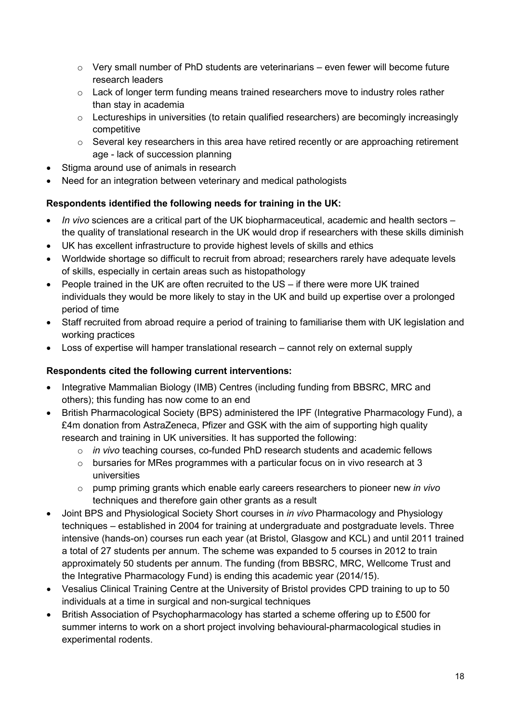- $\circ$  Very small number of PhD students are veterinarians even fewer will become future research leaders
- $\circ$  Lack of longer term funding means trained researchers move to industry roles rather than stay in academia
- o Lectureships in universities (to retain qualified researchers) are becomingly increasingly competitive
- $\circ$  Several key researchers in this area have retired recently or are approaching retirement age - lack of succession planning
- Stigma around use of animals in research
- Need for an integration between veterinary and medical pathologists

# **Respondents identified the following needs for training in the UK:**

- *In vivo* sciences are a critical part of the UK biopharmaceutical, academic and health sectors the quality of translational research in the UK would drop if researchers with these skills diminish
- UK has excellent infrastructure to provide highest levels of skills and ethics
- Worldwide shortage so difficult to recruit from abroad; researchers rarely have adequate levels of skills, especially in certain areas such as histopathology
- People trained in the UK are often recruited to the US if there were more UK trained individuals they would be more likely to stay in the UK and build up expertise over a prolonged period of time
- Staff recruited from abroad require a period of training to familiarise them with UK legislation and working practices
- Loss of expertise will hamper translational research cannot rely on external supply

# **Respondents cited the following current interventions:**

- Integrative Mammalian Biology (IMB) Centres (including funding from BBSRC, MRC and others); this funding has now come to an end
- British Pharmacological Society (BPS) administered the IPF (Integrative Pharmacology Fund), a £4m donation from AstraZeneca, Pfizer and GSK with the aim of supporting high quality research and training in UK universities. It has supported the following:
	- o *in vivo* teaching courses, co-funded PhD research students and academic fellows
	- $\circ$  bursaries for MRes programmes with a particular focus on in vivo research at 3 universities
	- o pump priming grants which enable early careers researchers to pioneer new *in vivo*  techniques and therefore gain other grants as a result
- Joint BPS and Physiological Society Short courses in *in vivo* Pharmacology and Physiology techniques – established in 2004 for training at undergraduate and postgraduate levels. Three intensive (hands-on) courses run each year (at Bristol, Glasgow and KCL) and until 2011 trained a total of 27 students per annum. The scheme was expanded to 5 courses in 2012 to train approximately 50 students per annum. The funding (from BBSRC, MRC, Wellcome Trust and the Integrative Pharmacology Fund) is ending this academic year (2014/15).
- Vesalius Clinical Training Centre at the University of Bristol provides CPD training to up to 50 individuals at a time in surgical and non-surgical techniques
- British Association of Psychopharmacology has started a scheme offering up to £500 for summer interns to work on a short project involving behavioural-pharmacological studies in experimental rodents.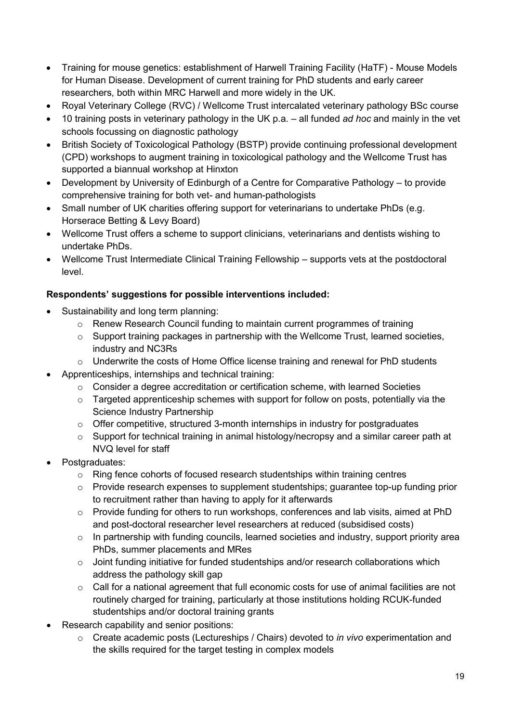- Training for mouse genetics: establishment of Harwell Training Facility (HaTF) Mouse Models for Human Disease. Development of current training for PhD students and early career researchers, both within MRC Harwell and more widely in the UK.
- Royal Veterinary College (RVC) / Wellcome Trust intercalated veterinary pathology BSc course
- 10 training posts in veterinary pathology in the UK p.a. all funded *ad hoc* and mainly in the vet schools focussing on diagnostic pathology
- British Society of Toxicological Pathology (BSTP) provide continuing professional development (CPD) workshops to augment training in toxicological pathology and the Wellcome Trust has supported a biannual workshop at Hinxton
- Development by University of Edinburgh of a Centre for Comparative Pathology to provide comprehensive training for both vet- and human-pathologists
- Small number of UK charities offering support for veterinarians to undertake PhDs (e.g. Horserace Betting & Levy Board)
- Wellcome Trust offers a scheme to support clinicians, veterinarians and dentists wishing to undertake PhDs.
- Wellcome Trust Intermediate Clinical Training Fellowship supports vets at the postdoctoral level.

- Sustainability and long term planning:
	- o Renew Research Council funding to maintain current programmes of training
	- $\circ$  Support training packages in partnership with the Wellcome Trust, learned societies, industry and NC3Rs
	- o Underwrite the costs of Home Office license training and renewal for PhD students
- Apprenticeships, internships and technical training:
	- $\circ$  Consider a degree accreditation or certification scheme, with learned Societies
	- $\circ$  Targeted apprenticeship schemes with support for follow on posts, potentially via the Science Industry Partnership
	- o Offer competitive, structured 3-month internships in industry for postgraduates
	- o Support for technical training in animal histology/necropsy and a similar career path at NVQ level for staff
- Postgraduates:
	- $\circ$  Ring fence cohorts of focused research studentships within training centres
	- $\circ$  Provide research expenses to supplement studentships; guarantee top-up funding prior to recruitment rather than having to apply for it afterwards
	- $\circ$  Provide funding for others to run workshops, conferences and lab visits, aimed at PhD and post-doctoral researcher level researchers at reduced (subsidised costs)
	- $\circ$  In partnership with funding councils, learned societies and industry, support priority area PhDs, summer placements and MRes
	- o Joint funding initiative for funded studentships and/or research collaborations which address the pathology skill gap
	- o Call for a national agreement that full economic costs for use of animal facilities are not routinely charged for training, particularly at those institutions holding RCUK-funded studentships and/or doctoral training grants
- Research capability and senior positions:
	- o Create academic posts (Lectureships / Chairs) devoted to *in vivo* experimentation and the skills required for the target testing in complex models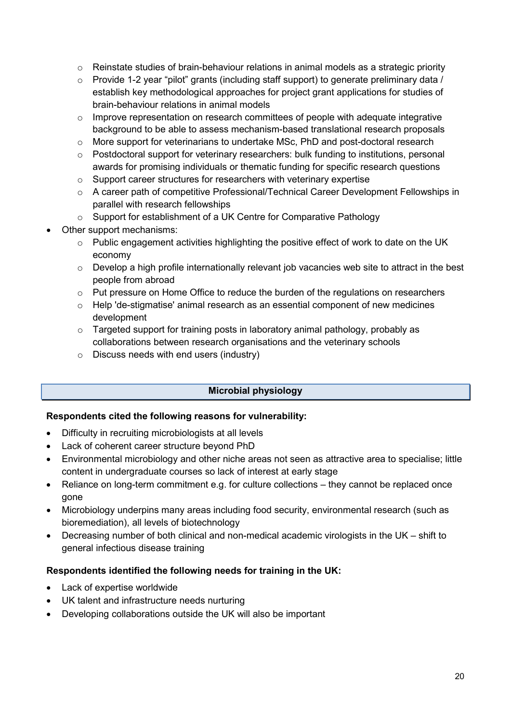- $\circ$  Reinstate studies of brain-behaviour relations in animal models as a strategic priority
- o Provide 1-2 year "pilot" grants (including staff support) to generate preliminary data / establish key methodological approaches for project grant applications for studies of brain-behaviour relations in animal models
- o Improve representation on research committees of people with adequate integrative background to be able to assess mechanism-based translational research proposals
- o More support for veterinarians to undertake MSc, PhD and post-doctoral research
- o Postdoctoral support for veterinary researchers: bulk funding to institutions, personal awards for promising individuals or thematic funding for specific research questions
- o Support career structures for researchers with veterinary expertise
- o A career path of competitive Professional/Technical Career Development Fellowships in parallel with research fellowships
- o Support for establishment of a UK Centre for Comparative Pathology
- Other support mechanisms:
	- $\circ$  Public engagement activities highlighting the positive effect of work to date on the UK economy
	- $\circ$  Develop a high profile internationally relevant job vacancies web site to attract in the best people from abroad
	- o Put pressure on Home Office to reduce the burden of the regulations on researchers
	- o Help 'de-stigmatise' animal research as an essential component of new medicines development
	- o Targeted support for training posts in laboratory animal pathology, probably as collaborations between research organisations and the veterinary schools
	- o Discuss needs with end users (industry)

# **Microbial physiology**

#### **Respondents cited the following reasons for vulnerability:**

- Difficulty in recruiting microbiologists at all levels
- Lack of coherent career structure beyond PhD
- Environmental microbiology and other niche areas not seen as attractive area to specialise; little content in undergraduate courses so lack of interest at early stage
- Reliance on long-term commitment e.g. for culture collections they cannot be replaced once gone
- Microbiology underpins many areas including food security, environmental research (such as bioremediation), all levels of biotechnology
- Decreasing number of both clinical and non-medical academic virologists in the UK shift to general infectious disease training

#### **Respondents identified the following needs for training in the UK:**

- Lack of expertise worldwide
- UK talent and infrastructure needs nurturing
- Developing collaborations outside the UK will also be important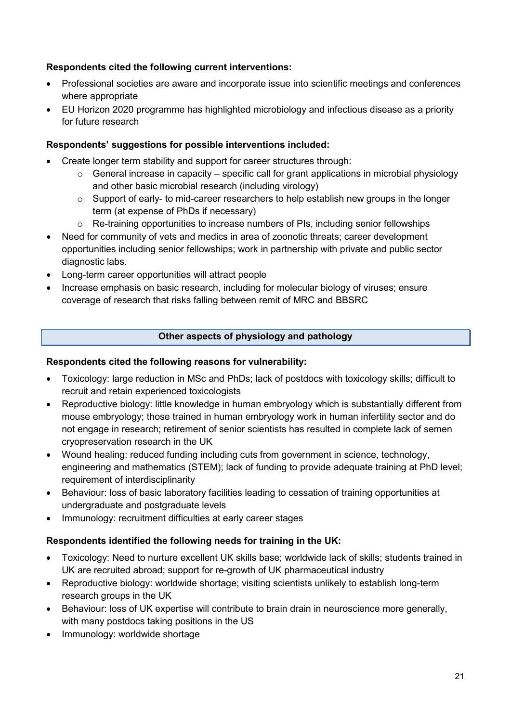# **Respondents cited the following current interventions:**

- Professional societies are aware and incorporate issue into scientific meetings and conferences where appropriate
- EU Horizon 2020 programme has highlighted microbiology and infectious disease as a priority for future research

# **Respondents' suggestions for possible interventions included:**

- Create longer term stability and support for career structures through:
	- $\circ$  General increase in capacity specific call for grant applications in microbial physiology and other basic microbial research (including virology)
	- o Support of early- to mid-career researchers to help establish new groups in the longer term (at expense of PhDs if necessary)
	- $\circ$  Re-training opportunities to increase numbers of PIs, including senior fellowships
- Need for community of vets and medics in area of zoonotic threats; career development opportunities including senior fellowships; work in partnership with private and public sector diagnostic labs.
- Long-term career opportunities will attract people
- Increase emphasis on basic research, including for molecular biology of viruses; ensure coverage of research that risks falling between remit of MRC and BBSRC

# **Other aspects of physiology and pathology**

# **Respondents cited the following reasons for vulnerability:**

- Toxicology: large reduction in MSc and PhDs; lack of postdocs with toxicology skills; difficult to recruit and retain experienced toxicologists
- Reproductive biology: little knowledge in human embryology which is substantially different from mouse embryology; those trained in human embryology work in human infertility sector and do not engage in research; retirement of senior scientists has resulted in complete lack of semen cryopreservation research in the UK
- Wound healing: reduced funding including cuts from government in science, technology, engineering and mathematics (STEM); lack of funding to provide adequate training at PhD level; requirement of interdisciplinarity
- Behaviour: loss of basic laboratory facilities leading to cessation of training opportunities at undergraduate and postgraduate levels
- Immunology: recruitment difficulties at early career stages

# **Respondents identified the following needs for training in the UK:**

- Toxicology: Need to nurture excellent UK skills base; worldwide lack of skills; students trained in UK are recruited abroad; support for re-growth of UK pharmaceutical industry
- Reproductive biology: worldwide shortage; visiting scientists unlikely to establish long-term research groups in the UK
- Behaviour: loss of UK expertise will contribute to brain drain in neuroscience more generally, with many postdocs taking positions in the US
- Immunology: worldwide shortage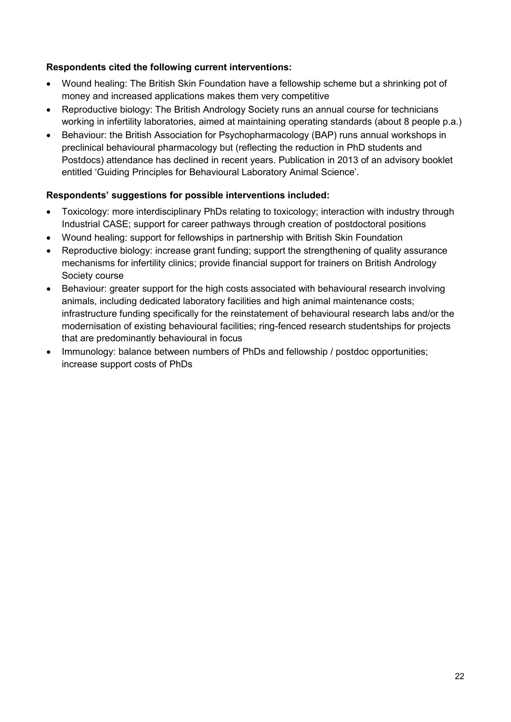# **Respondents cited the following current interventions:**

- Wound healing: The British Skin Foundation have a fellowship scheme but a shrinking pot of money and increased applications makes them very competitive
- Reproductive biology: The British Andrology Society runs an annual course for technicians working in infertility laboratories, aimed at maintaining operating standards (about 8 people p.a.)
- Behaviour: the British Association for Psychopharmacology (BAP) runs annual workshops in preclinical behavioural pharmacology but (reflecting the reduction in PhD students and Postdocs) attendance has declined in recent years. Publication in 2013 of an advisory booklet entitled 'Guiding Principles for Behavioural Laboratory Animal Science'.

- Toxicology: more interdisciplinary PhDs relating to toxicology; interaction with industry through Industrial CASE; support for career pathways through creation of postdoctoral positions
- Wound healing: support for fellowships in partnership with British Skin Foundation
- Reproductive biology: increase grant funding; support the strengthening of quality assurance mechanisms for infertility clinics; provide financial support for trainers on British Andrology Society course
- Behaviour: greater support for the high costs associated with behavioural research involving animals, including dedicated laboratory facilities and high animal maintenance costs; infrastructure funding specifically for the reinstatement of behavioural research labs and/or the modernisation of existing behavioural facilities; ring-fenced research studentships for projects that are predominantly behavioural in focus
- Immunology: balance between numbers of PhDs and fellowship / postdoc opportunities; increase support costs of PhDs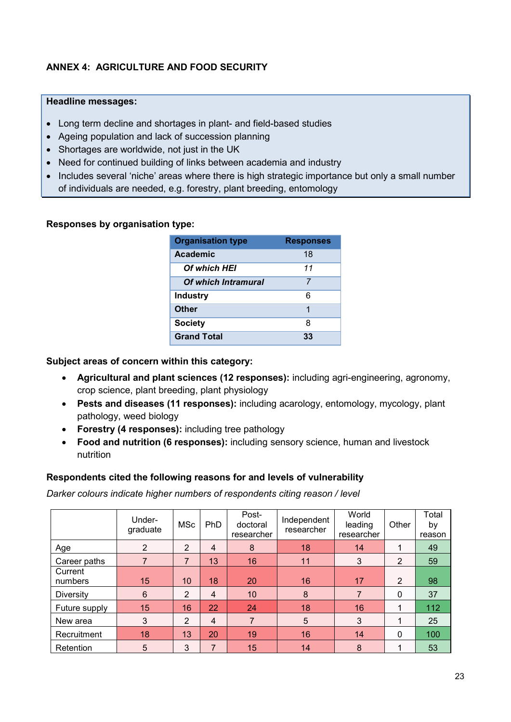# **ANNEX 4: AGRICULTURE AND FOOD SECURITY**

### **Headline messages:**

- Long term decline and shortages in plant- and field-based studies
- Ageing population and lack of succession planning
- Shortages are worldwide, not just in the UK
- Need for continued building of links between academia and industry
- Includes several 'niche' areas where there is high strategic importance but only a small number of individuals are needed, e.g. forestry, plant breeding, entomology

# **Responses by organisation type:**

| <b>Organisation type</b> | <b>Responses</b> |
|--------------------------|------------------|
| Academic                 | 18               |
| <b>Of which HEI</b>      | 11               |
| Of which Intramural      | 7                |
| <b>Industry</b>          | 6                |
| Other                    | 1                |
| <b>Society</b>           | 8                |
| <b>Grand Total</b>       | 33               |

# **Subject areas of concern within this category:**

- **Agricultural and plant sciences (12 responses):** including agri-engineering, agronomy, crop science, plant breeding, plant physiology
- **Pests and diseases (11 responses):** including acarology, entomology, mycology, plant pathology, weed biology
- **Forestry (4 responses):** including tree pathology
- **Food and nutrition (6 responses):** including sensory science, human and livestock nutrition

# **Respondents cited the following reasons for and levels of vulnerability**

*Darker colours indicate higher numbers of respondents citing reason / level*

|                    | Under-<br>graduate | <b>MSc</b>     | <b>PhD</b>     | Post-<br>doctoral<br>researcher | Independent<br>researcher | World<br>leading<br>researcher | Other          | Total<br>by<br>reason |
|--------------------|--------------------|----------------|----------------|---------------------------------|---------------------------|--------------------------------|----------------|-----------------------|
| Age                | $\overline{2}$     | 2              | 4              | 8                               | 18                        | 14                             | ◢              | 49                    |
| Career paths       |                    | $\overline{7}$ | 13             | 16                              | 11                        | 3                              | $\overline{2}$ | 59                    |
| Current<br>numbers | 15                 | 10             | 18             | 20                              | 16                        | 17                             | $\overline{2}$ | 98                    |
| <b>Diversity</b>   | 6                  | 2              | $\overline{4}$ | 10                              | 8                         | $\overline{7}$                 | 0              | 37                    |
| Future supply      | 15                 | 16             | 22             | 24                              | 18                        | 16                             | ◢              | 112                   |
| New area           | 3                  | 2              | $\overline{4}$ | 7                               | 5                         | 3                              | 4              | 25                    |
| Recruitment        | 18                 | 13             | 20             | 19                              | 16                        | 14                             | 0              | 100                   |
| Retention          | 5                  | 3              | 7              | 15                              | 14                        | 8                              |                | 53                    |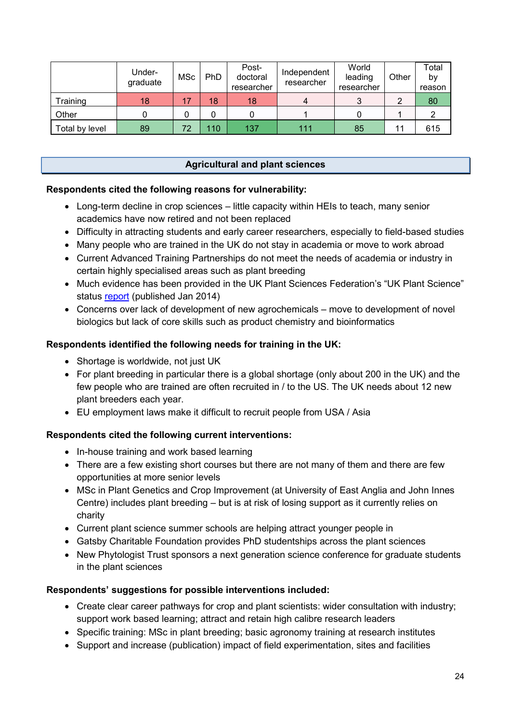|                | Under-<br>graduate | MSc | PhD | Post-<br>doctoral<br>researcher | Independent<br>researcher | World<br>leading<br>researcher | Other | ™otal<br>by<br>reason |
|----------------|--------------------|-----|-----|---------------------------------|---------------------------|--------------------------------|-------|-----------------------|
| Training       | 18                 | 17  | 18  | 18                              | 4                         |                                |       | 80                    |
| Other          |                    |     |     |                                 |                           |                                |       |                       |
| Total by level | 89                 | 72  | 110 | 137                             | 111                       | 85                             |       | 615                   |

# **Agricultural and plant sciences**

### **Respondents cited the following reasons for vulnerability:**

- Long-term decline in crop sciences little capacity within HEIs to teach, many senior academics have now retired and not been replaced
- Difficulty in attracting students and early career researchers, especially to field-based studies
- Many people who are trained in the UK do not stay in academia or move to work abroad
- Current Advanced Training Partnerships do not meet the needs of academia or industry in certain highly specialised areas such as plant breeding
- Much evidence has been provided in the UK Plant Sciences Federation's "UK Plant Science" status [report](https://www.societyofbiology.org/policy/ukpsf/uk-plant-science-status-report) (published Jan 2014)
- Concerns over lack of development of new agrochemicals move to development of novel biologics but lack of core skills such as product chemistry and bioinformatics

### **Respondents identified the following needs for training in the UK:**

- Shortage is worldwide, not just UK
- For plant breeding in particular there is a global shortage (only about 200 in the UK) and the few people who are trained are often recruited in / to the US. The UK needs about 12 new plant breeders each year.
- EU employment laws make it difficult to recruit people from USA / Asia

#### **Respondents cited the following current interventions:**

- In-house training and work based learning
- There are a few existing short courses but there are not many of them and there are few opportunities at more senior levels
- MSc in Plant Genetics and Crop Improvement (at University of East Anglia and John Innes Centre) includes plant breeding – but is at risk of losing support as it currently relies on charity
- Current plant science summer schools are helping attract younger people in
- Gatsby Charitable Foundation provides PhD studentships across the plant sciences
- New Phytologist Trust sponsors a next generation science conference for graduate students in the plant sciences

- Create clear career pathways for crop and plant scientists: wider consultation with industry: support work based learning; attract and retain high calibre research leaders
- Specific training: MSc in plant breeding; basic agronomy training at research institutes
- Support and increase (publication) impact of field experimentation, sites and facilities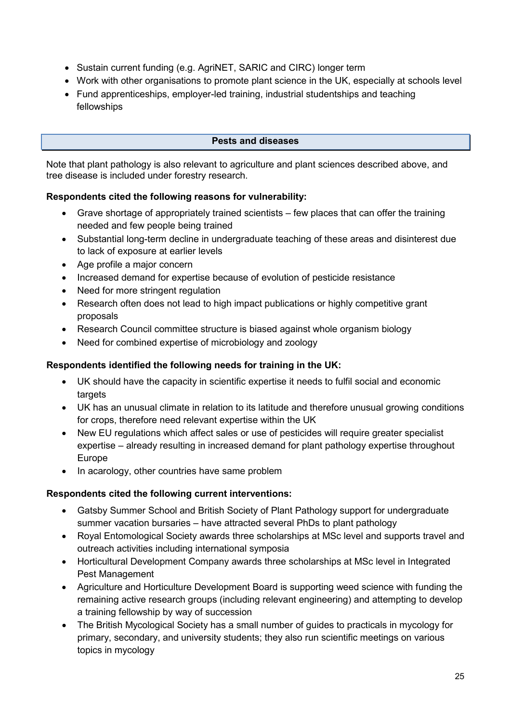- Sustain current funding (e.g. AgriNET, SARIC and CIRC) longer term
- Work with other organisations to promote plant science in the UK, especially at schools level
- Fund apprenticeships, employer-led training, industrial studentships and teaching fellowships

# **Pests and diseases**

Note that plant pathology is also relevant to agriculture and plant sciences described above, and tree disease is included under forestry research.

### **Respondents cited the following reasons for vulnerability:**

- Grave shortage of appropriately trained scientists few places that can offer the training needed and few people being trained
- Substantial long-term decline in undergraduate teaching of these areas and disinterest due to lack of exposure at earlier levels
- Age profile a major concern
- Increased demand for expertise because of evolution of pesticide resistance
- Need for more stringent regulation
- Research often does not lead to high impact publications or highly competitive grant proposals
- Research Council committee structure is biased against whole organism biology
- Need for combined expertise of microbiology and zoology

# **Respondents identified the following needs for training in the UK:**

- UK should have the capacity in scientific expertise it needs to fulfil social and economic targets
- UK has an unusual climate in relation to its latitude and therefore unusual growing conditions for crops, therefore need relevant expertise within the UK
- New EU regulations which affect sales or use of pesticides will require greater specialist expertise – already resulting in increased demand for plant pathology expertise throughout Europe
- In acarology, other countries have same problem

# **Respondents cited the following current interventions:**

- Gatsby Summer School and British Society of Plant Pathology support for undergraduate summer vacation bursaries – have attracted several PhDs to plant pathology
- Royal Entomological Society awards three scholarships at MSc level and supports travel and outreach activities including international symposia
- Horticultural Development Company awards three scholarships at MSc level in Integrated Pest Management
- Agriculture and Horticulture Development Board is supporting weed science with funding the remaining active research groups (including relevant engineering) and attempting to develop a training fellowship by way of succession
- The British Mycological Society has a small number of guides to practicals in mycology for primary, secondary, and university students; they also run scientific meetings on various topics in mycology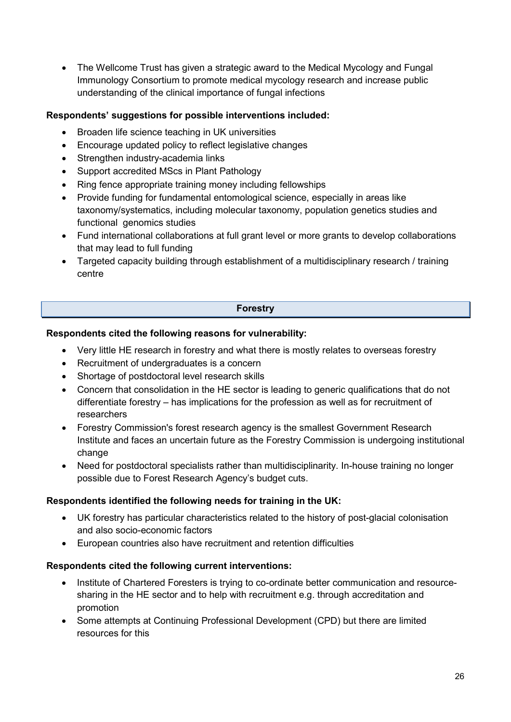• The Wellcome Trust has given a strategic award to the Medical Mycology and Fungal Immunology Consortium to promote medical mycology research and increase public understanding of the clinical importance of fungal infections

# **Respondents' suggestions for possible interventions included:**

- Broaden life science teaching in UK universities
- Encourage updated policy to reflect legislative changes
- Strengthen industry-academia links
- Support accredited MScs in Plant Pathology
- Ring fence appropriate training money including fellowships
- Provide funding for fundamental entomological science, especially in areas like taxonomy/systematics, including molecular taxonomy, population genetics studies and functional genomics studies
- Fund international collaborations at full grant level or more grants to develop collaborations that may lead to full funding
- Targeted capacity building through establishment of a multidisciplinary research / training centre

### **Forestry**

#### **Respondents cited the following reasons for vulnerability:**

- Very little HE research in forestry and what there is mostly relates to overseas forestry
- Recruitment of undergraduates is a concern
- Shortage of postdoctoral level research skills
- Concern that consolidation in the HE sector is leading to generic qualifications that do not differentiate forestry – has implications for the profession as well as for recruitment of researchers
- Forestry Commission's forest research agency is the smallest Government Research Institute and faces an uncertain future as the Forestry Commission is undergoing institutional change
- Need for postdoctoral specialists rather than multidisciplinarity. In-house training no longer possible due to Forest Research Agency's budget cuts.

#### **Respondents identified the following needs for training in the UK:**

- UK forestry has particular characteristics related to the history of post-glacial colonisation and also socio-economic factors
- European countries also have recruitment and retention difficulties

#### **Respondents cited the following current interventions:**

- Institute of Chartered Foresters is trying to co-ordinate better communication and resourcesharing in the HE sector and to help with recruitment e.g. through accreditation and promotion
- Some attempts at Continuing Professional Development (CPD) but there are limited resources for this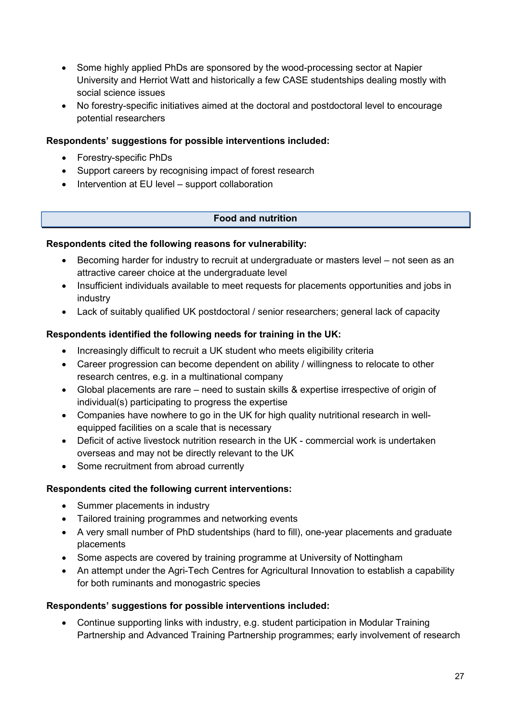- Some highly applied PhDs are sponsored by the wood-processing sector at Napier University and Herriot Watt and historically a few CASE studentships dealing mostly with social science issues
- No forestry-specific initiatives aimed at the doctoral and postdoctoral level to encourage potential researchers

# **Respondents' suggestions for possible interventions included:**

- Forestry-specific PhDs
- Support careers by recognising impact of forest research
- Intervention at EU level support collaboration

# **Food and nutrition**

# **Respondents cited the following reasons for vulnerability:**

- Becoming harder for industry to recruit at undergraduate or masters level not seen as an attractive career choice at the undergraduate level
- Insufficient individuals available to meet requests for placements opportunities and jobs in industry
- Lack of suitably qualified UK postdoctoral / senior researchers; general lack of capacity

# **Respondents identified the following needs for training in the UK:**

- Increasingly difficult to recruit a UK student who meets eligibility criteria
- Career progression can become dependent on ability / willingness to relocate to other research centres, e.g. in a multinational company
- Global placements are rare need to sustain skills & expertise irrespective of origin of individual(s) participating to progress the expertise
- Companies have nowhere to go in the UK for high quality nutritional research in wellequipped facilities on a scale that is necessary
- Deficit of active livestock nutrition research in the UK commercial work is undertaken overseas and may not be directly relevant to the UK
- Some recruitment from abroad currently

# **Respondents cited the following current interventions:**

- Summer placements in industry
- Tailored training programmes and networking events
- A very small number of PhD studentships (hard to fill), one-year placements and graduate placements
- Some aspects are covered by training programme at University of Nottingham
- An attempt under the Agri-Tech Centres for Agricultural Innovation to establish a capability for both ruminants and monogastric species

# **Respondents' suggestions for possible interventions included:**

• Continue supporting links with industry, e.g. student participation in Modular Training Partnership and Advanced Training Partnership programmes; early involvement of research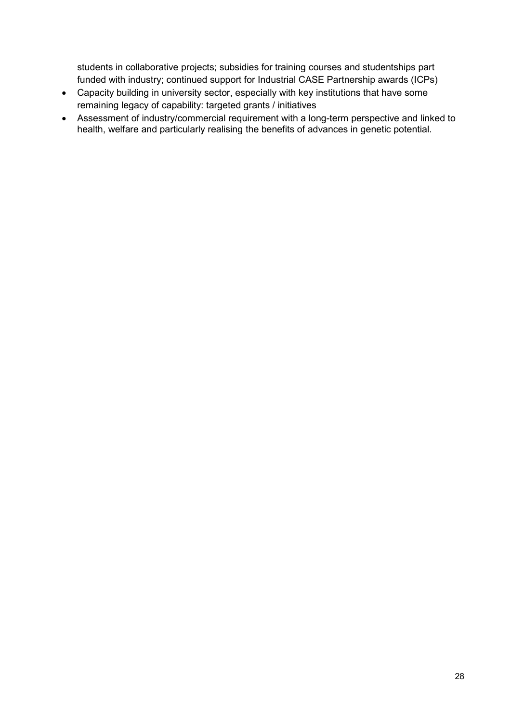students in collaborative projects; subsidies for training courses and studentships part funded with industry; continued support for Industrial CASE Partnership awards (ICPs)

- Capacity building in university sector, especially with key institutions that have some remaining legacy of capability: targeted grants / initiatives
- Assessment of industry/commercial requirement with a long-term perspective and linked to health, welfare and particularly realising the benefits of advances in genetic potential.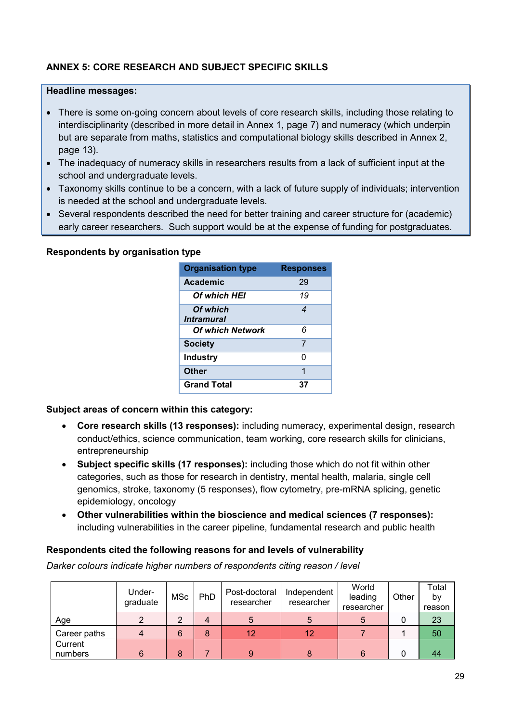# **ANNEX 5: CORE RESEARCH AND SUBJECT SPECIFIC SKILLS**

#### **Headline messages:**

- There is some on-going concern about levels of core research skills, including those relating to interdisciplinarity (described in more detail in Annex 1, page 7) and numeracy (which underpin but are separate from maths, statistics and computational biology skills described in Annex 2, page 13).
- The inadequacy of numeracy skills in researchers results from a lack of sufficient input at the school and undergraduate levels.
- Taxonomy skills continue to be a concern, with a lack of future supply of individuals; intervention is needed at the school and undergraduate levels.
- Several respondents described the need for better training and career structure for (academic) early career researchers. Such support would be at the expense of funding for postgraduates.

| <b>Respondents by organisation type</b> |  |  |  |  |
|-----------------------------------------|--|--|--|--|
|-----------------------------------------|--|--|--|--|

| <b>Organisation type</b>             | <b>Responses</b> |
|--------------------------------------|------------------|
| Academic                             | 29               |
| <b>Of which HEI</b>                  | 19               |
| Of which<br><i><b>Intramural</b></i> | 4                |
| <b>Of which Network</b>              | 6                |
| <b>Society</b>                       | 7                |
| <b>Industry</b>                      | O                |
| Other                                | 1                |
| <b>Grand Total</b>                   | 37               |

#### **Subject areas of concern within this category:**

- **Core research skills (13 responses):** including numeracy, experimental design, research conduct/ethics, science communication, team working, core research skills for clinicians, entrepreneurship
- **Subject specific skills (17 responses):** including those which do not fit within other categories, such as those for research in dentistry, mental health, malaria, single cell genomics, stroke, taxonomy (5 responses), flow cytometry, pre-mRNA splicing, genetic epidemiology, oncology
- **Other vulnerabilities within the bioscience and medical sciences (7 responses):**  including vulnerabilities in the career pipeline, fundamental research and public health

#### **Respondents cited the following reasons for and levels of vulnerability**

*Darker colours indicate higher numbers of respondents citing reason / level*

|                    | Under-<br>graduate | <b>MSc</b> | PhD | Post-doctoral<br>researcher | Independent<br>researcher | World<br>leading<br>researcher | Other | Total<br>by<br>reason |
|--------------------|--------------------|------------|-----|-----------------------------|---------------------------|--------------------------------|-------|-----------------------|
| Age                |                    | 2          | 4   | b                           | 5                         | b                              | u     | 23                    |
| Career paths       | 4                  | 6          | 8   | 12                          | 12                        |                                |       | 50                    |
| Current<br>numbers | 6                  | 8          |     | 9                           | 8                         | 6                              |       | 44                    |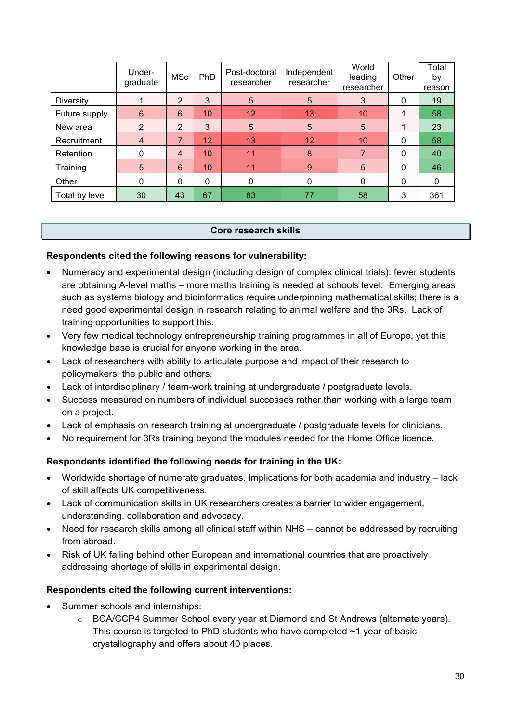|                  | Under-<br>graduate | <b>MSc</b>     | PhD             | Post-doctoral<br>researcher | Independent<br>researcher | World<br>leading<br>researcher | Other | Total<br>by<br>reason |
|------------------|--------------------|----------------|-----------------|-----------------------------|---------------------------|--------------------------------|-------|-----------------------|
| <b>Diversity</b> |                    | $\overline{2}$ | 3               | 5                           | 5                         | 3                              | 0     | 19                    |
| Future supply    | 6                  | 6              | 10              | 12                          | 13                        | 10                             |       | 58                    |
| New area         | $\overline{2}$     | $\overline{2}$ | 3               | 5                           | 5                         | 5                              |       | 23                    |
| Recruitment      | $\overline{4}$     | 7              | 12 <sup>1</sup> | 13                          | 12                        | 10                             | 0     | 58                    |
| Retention        | 0                  | 4              | 10              | 11                          | 8                         | 7                              | 0     | 40                    |
| Training         | $5\overline{)}$    | 6              | 10              | 11                          | 9                         | 5                              | 0     | 46                    |
| Other            | $\Omega$           | 0              | 0               | $\Omega$                    | $\Omega$                  | 0                              | 0     | 0                     |
| Total by level   | 30                 | 43             | 67              | 83                          | 77                        | 58                             | 3     | 361                   |

### **Core research skills**

# **Respondents cited the following reasons for vulnerability:**

- Numeracy and experimental design (including design of complex clinical trials): fewer students are obtaining A-level maths – more maths training is needed at schools level. Emerging areas such as systems biology and bioinformatics require underpinning mathematical skills; there is a need good experimental design in research relating to animal welfare and the 3Rs. Lack of training opportunities to support this.
- Very few medical technology entrepreneurship training programmes in all of Europe, yet this knowledge base is crucial for anyone working in the area.
- Lack of researchers with ability to articulate purpose and impact of their research to policymakers, the public and others.
- Lack of interdisciplinary / team-work training at undergraduate / postgraduate levels.
- Success measured on numbers of individual successes rather than working with a large team on a project.
- Lack of emphasis on research training at undergraduate / postgraduate levels for clinicians.
- No requirement for 3Rs training beyond the modules needed for the Home Office licence.

# **Respondents identified the following needs for training in the UK:**

- Worldwide shortage of numerate graduates. Implications for both academia and industry lack of skill affects UK competitiveness.
- Lack of communication skills in UK researchers creates a barrier to wider engagement, understanding, collaboration and advocacy.
- Need for research skills among all clinical staff within NHS cannot be addressed by recruiting from abroad.
- Risk of UK falling behind other European and international countries that are proactively addressing shortage of skills in experimental design.

#### **Respondents cited the following current interventions:**

- Summer schools and internships:
	- o BCA/CCP4 Summer School every year at Diamond and St Andrews (alternate years). This course is targeted to PhD students who have completed  $\sim$ 1 year of basic crystallography and offers about 40 places.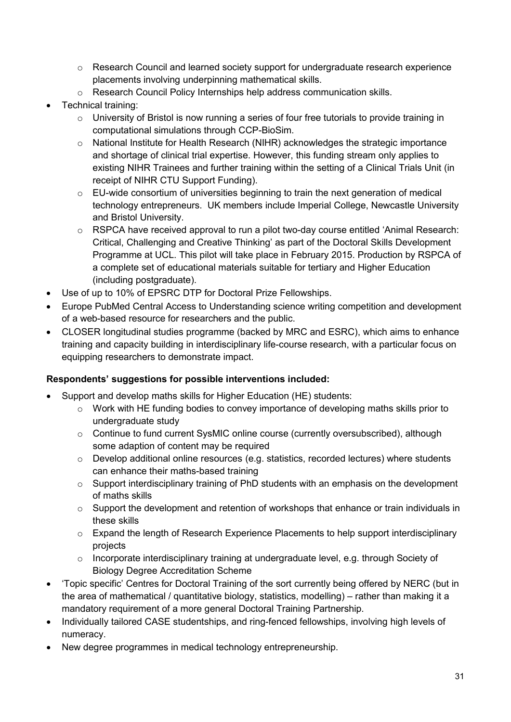- $\circ$  Research Council and learned society support for undergraduate research experience placements involving underpinning mathematical skills.
- o Research Council Policy Internships help address communication skills.
- Technical training:
	- $\circ$  University of Bristol is now running a series of four free tutorials to provide training in computational simulations through CCP-BioSim.
	- o National Institute for Health Research (NIHR) acknowledges the strategic importance and shortage of clinical trial expertise. However, this funding stream only applies to existing NIHR Trainees and further training within the setting of a Clinical Trials Unit (in receipt of NIHR CTU Support Funding).
	- o EU-wide consortium of universities beginning to train the next generation of medical technology entrepreneurs. UK members include Imperial College, Newcastle University and Bristol University.
	- o RSPCA have received approval to run a pilot two-day course entitled 'Animal Research: Critical, Challenging and Creative Thinking' as part of the Doctoral Skills Development Programme at UCL. This pilot will take place in February 2015. Production by RSPCA of a complete set of educational materials suitable for tertiary and Higher Education (including postgraduate).
- Use of up to 10% of EPSRC DTP for Doctoral Prize Fellowships.
- Europe PubMed Central Access to Understanding science writing competition and development of a web-based resource for researchers and the public.
- CLOSER longitudinal studies programme (backed by MRC and ESRC), which aims to enhance training and capacity building in interdisciplinary life-course research, with a particular focus on equipping researchers to demonstrate impact.

- Support and develop maths skills for Higher Education (HE) students:
	- $\circ$  Work with HE funding bodies to convey importance of developing maths skills prior to undergraduate study
	- o Continue to fund current SysMIC online course (currently oversubscribed), although some adaption of content may be required
	- o Develop additional online resources (e.g. statistics, recorded lectures) where students can enhance their maths-based training
	- $\circ$  Support interdisciplinary training of PhD students with an emphasis on the development of maths skills
	- o Support the development and retention of workshops that enhance or train individuals in these skills
	- $\circ$  Expand the length of Research Experience Placements to help support interdisciplinary projects
	- o Incorporate interdisciplinary training at undergraduate level, e.g. through Society of Biology Degree Accreditation Scheme
- 'Topic specific' Centres for Doctoral Training of the sort currently being offered by NERC (but in the area of mathematical / quantitative biology, statistics, modelling) – rather than making it a mandatory requirement of a more general Doctoral Training Partnership.
- Individually tailored CASE studentships, and ring-fenced fellowships, involving high levels of numeracy.
- New degree programmes in medical technology entrepreneurship.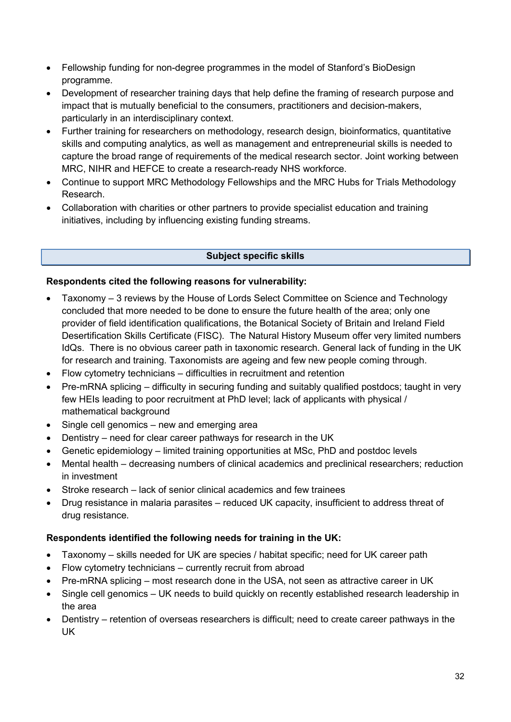- Fellowship funding for non-degree programmes in the model of Stanford's BioDesign programme.
- Development of researcher training days that help define the framing of research purpose and impact that is mutually beneficial to the consumers, practitioners and decision-makers, particularly in an interdisciplinary context.
- Further training for researchers on methodology, research design, bioinformatics, quantitative skills and computing analytics, as well as management and entrepreneurial skills is needed to capture the broad range of requirements of the medical research sector. Joint working between MRC, NIHR and HEFCE to create a research-ready NHS workforce.
- Continue to support MRC Methodology Fellowships and the MRC Hubs for Trials Methodology Research.
- Collaboration with charities or other partners to provide specialist education and training initiatives, including by influencing existing funding streams.

# **Subject specific skills**

# **Respondents cited the following reasons for vulnerability:**

- Taxonomy 3 reviews by the House of Lords Select Committee on Science and Technology concluded that more needed to be done to ensure the future health of the area; only one provider of field identification qualifications, the Botanical Society of Britain and Ireland Field Desertification Skills Certificate (FISC). The Natural History Museum offer very limited numbers IdQs. There is no obvious career path in taxonomic research. General lack of funding in the UK for research and training. Taxonomists are ageing and few new people coming through.
- Flow cytometry technicians difficulties in recruitment and retention
- Pre-mRNA splicing difficulty in securing funding and suitably qualified postdocs; taught in very few HEIs leading to poor recruitment at PhD level; lack of applicants with physical / mathematical background
- Single cell genomics new and emerging area
- Dentistry need for clear career pathways for research in the UK
- Genetic epidemiology limited training opportunities at MSc, PhD and postdoc levels
- Mental health decreasing numbers of clinical academics and preclinical researchers; reduction in investment
- Stroke research lack of senior clinical academics and few trainees
- Drug resistance in malaria parasites reduced UK capacity, insufficient to address threat of drug resistance.

# **Respondents identified the following needs for training in the UK:**

- Taxonomy skills needed for UK are species / habitat specific; need for UK career path
- Flow cytometry technicians currently recruit from abroad
- Pre-mRNA splicing most research done in the USA, not seen as attractive career in UK
- Single cell genomics UK needs to build quickly on recently established research leadership in the area
- Dentistry retention of overseas researchers is difficult; need to create career pathways in the UK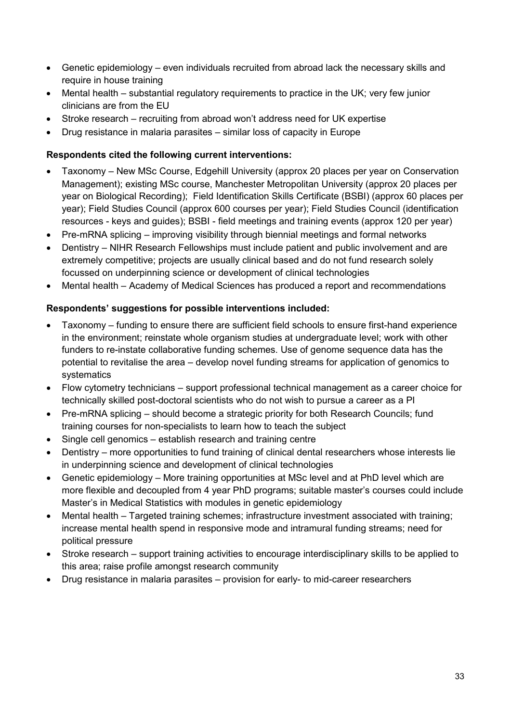- Genetic epidemiology even individuals recruited from abroad lack the necessary skills and require in house training
- Mental health substantial regulatory requirements to practice in the UK; very few junior clinicians are from the EU
- Stroke research recruiting from abroad won't address need for UK expertise
- Drug resistance in malaria parasites similar loss of capacity in Europe

# **Respondents cited the following current interventions:**

- Taxonomy New MSc Course, Edgehill University (approx 20 places per year on Conservation Management); existing MSc course, Manchester Metropolitan University (approx 20 places per year on Biological Recording); Field Identification Skills Certificate (BSBI) (approx 60 places per year); Field Studies Council (approx 600 courses per year); Field Studies Council (identification resources - keys and guides); BSBI - field meetings and training events (approx 120 per year)
- Pre-mRNA splicing improving visibility through biennial meetings and formal networks
- Dentistry NIHR Research Fellowships must include patient and public involvement and are extremely competitive; projects are usually clinical based and do not fund research solely focussed on underpinning science or development of clinical technologies
- Mental health Academy of Medical Sciences has produced a report and recommendations

- Taxonomy funding to ensure there are sufficient field schools to ensure first-hand experience in the environment; reinstate whole organism studies at undergraduate level; work with other funders to re-instate collaborative funding schemes. Use of genome sequence data has the potential to revitalise the area – develop novel funding streams for application of genomics to systematics
- Flow cytometry technicians support professional technical management as a career choice for technically skilled post-doctoral scientists who do not wish to pursue a career as a PI
- Pre-mRNA splicing should become a strategic priority for both Research Councils; fund training courses for non-specialists to learn how to teach the subject
- Single cell genomics establish research and training centre
- Dentistry more opportunities to fund training of clinical dental researchers whose interests lie in underpinning science and development of clinical technologies
- Genetic epidemiology More training opportunities at MSc level and at PhD level which are more flexible and decoupled from 4 year PhD programs; suitable master's courses could include Master's in Medical Statistics with modules in genetic epidemiology
- Mental health Targeted training schemes; infrastructure investment associated with training; increase mental health spend in responsive mode and intramural funding streams; need for political pressure
- Stroke research support training activities to encourage interdisciplinary skills to be applied to this area; raise profile amongst research community
- Drug resistance in malaria parasites provision for early- to mid-career researchers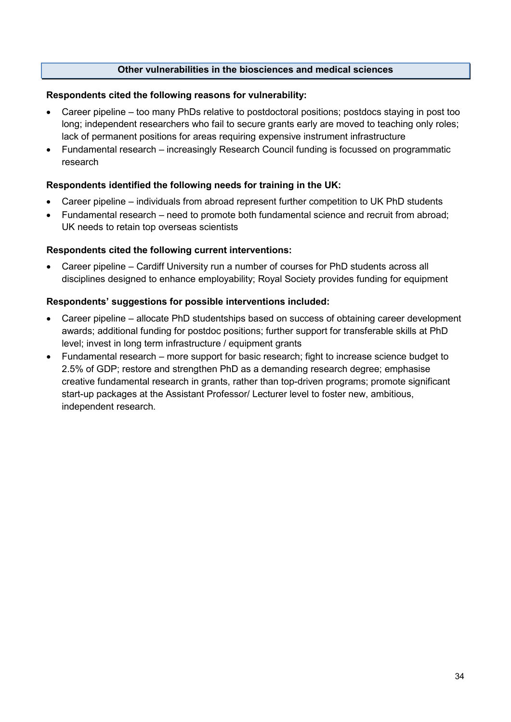# **Other vulnerabilities in the biosciences and medical sciences**

#### **Respondents cited the following reasons for vulnerability:**

- Career pipeline too many PhDs relative to postdoctoral positions; postdocs staying in post too long; independent researchers who fail to secure grants early are moved to teaching only roles; lack of permanent positions for areas requiring expensive instrument infrastructure
- Fundamental research increasingly Research Council funding is focussed on programmatic research

### **Respondents identified the following needs for training in the UK:**

- Career pipeline individuals from abroad represent further competition to UK PhD students
- Fundamental research need to promote both fundamental science and recruit from abroad; UK needs to retain top overseas scientists

### **Respondents cited the following current interventions:**

• Career pipeline – Cardiff University run a number of courses for PhD students across all disciplines designed to enhance employability; Royal Society provides funding for equipment

- Career pipeline allocate PhD studentships based on success of obtaining career development awards; additional funding for postdoc positions; further support for transferable skills at PhD level; invest in long term infrastructure / equipment grants
- Fundamental research more support for basic research; fight to increase science budget to 2.5% of GDP; restore and strengthen PhD as a demanding research degree; emphasise creative fundamental research in grants, rather than top-driven programs; promote significant start-up packages at the Assistant Professor/ Lecturer level to foster new, ambitious, independent research.